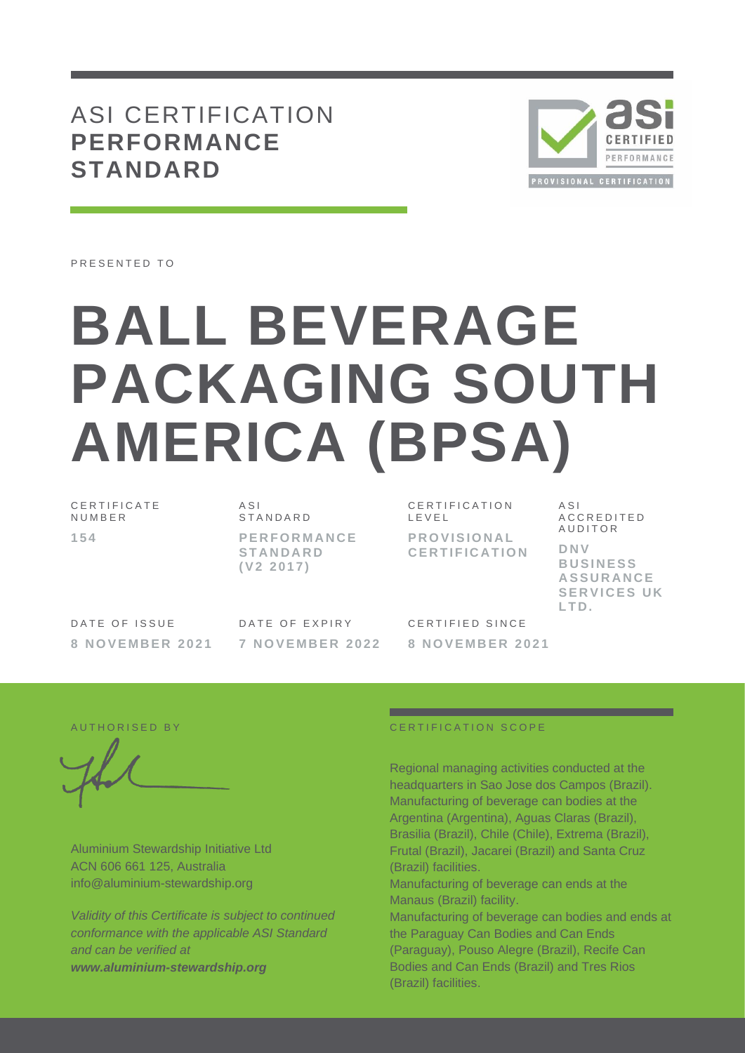## ASI CERTIFICATION **PERFORMANCE STANDARD**



PRESENTED TO

# **BALL BEVERAGE PACKAGING SOUTH AMERICA (BPSA)**

C E R T I F I C A T E **NUMBER 1 5 4**

A S I **STANDARD P E R F O R M A N C E S T A N D A R D ( V 2 2 0 1 7 )**

C E R T I F I C A T I O N  $I$   $F$   $V$   $F$   $I$ **P R O V I S I O N A L** 

**C E R T I F I C A T I O N**

 $A S I$ A C C R E D I T E D **AUDITOR D N V B U S I N E S S A S S U R A N C E SERVICES UK L T D .**

DATE OF ISSUE **8 N O V E M B E R 2 0 2 1** DATE OF EXPIRY **7 N O V E M B E R 2 0 2 2** CERTIFIED SINCE **8 N O V E M B E R 2 0 2 1**

Aluminium Stewardship Initiative Ltd ACN 606 661 125, Australia info@aluminium-stewardship.org

*Validity of this Certificate is subject to continued conformance with the applicable ASI Standard and can be verified at www.aluminium-stewardship.org*

#### A UT HORISED BY CERTIFICATION SCOPE

Regional managing activities conducted at the headquarters in Sao Jose dos Campos (Brazil). Manufacturing of beverage can bodies at the Argentina (Argentina), Aguas Claras (Brazil), Brasilia (Brazil), Chile (Chile), Extrema (Brazil), Frutal (Brazil), Jacarei (Brazil) and Santa Cruz (Brazil) facilities. Manufacturing of beverage can ends at the Manaus (Brazil) facility. Manufacturing of beverage can bodies and ends at the Paraguay Can Bodies and Can Ends (Paraguay), Pouso Alegre (Brazil), Recife Can Bodies and Can Ends (Brazil) and Tres Rios (Brazil) facilities.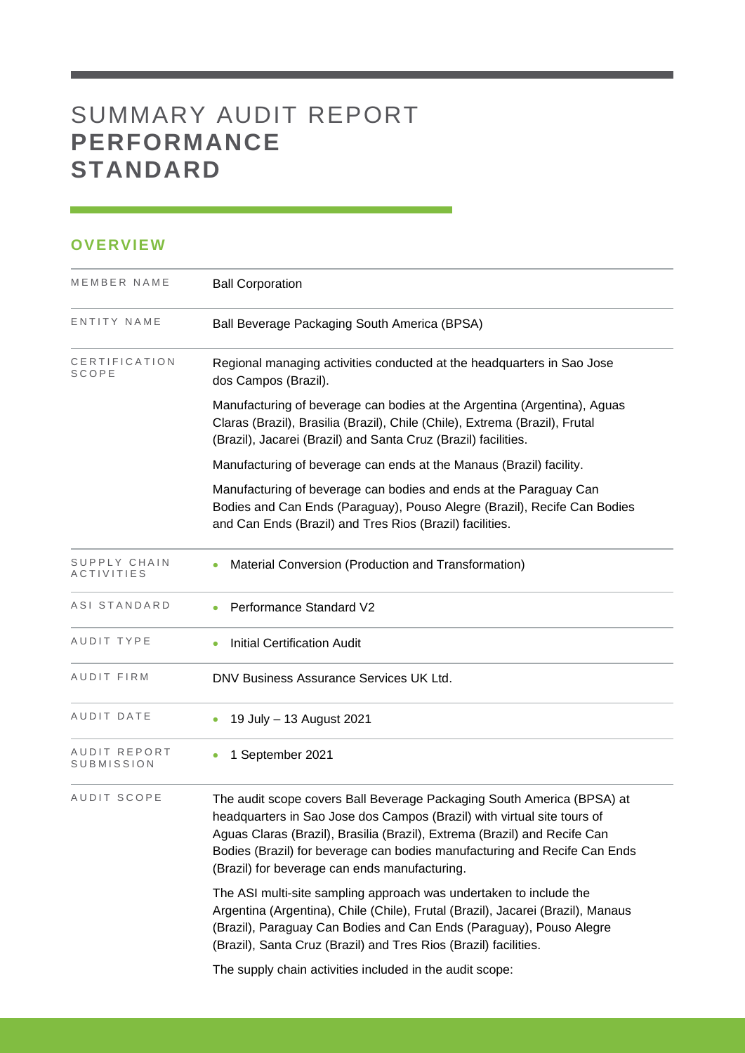# SUMMARY AUDIT REPORT **PERFORMANCE STANDARD**

### **OVERVIEW**

| MEMBER NAME                | <b>Ball Corporation</b>                                                                                                                                                                                                                                                                                                                                      |  |  |  |
|----------------------------|--------------------------------------------------------------------------------------------------------------------------------------------------------------------------------------------------------------------------------------------------------------------------------------------------------------------------------------------------------------|--|--|--|
| ENTITY NAME                | Ball Beverage Packaging South America (BPSA)                                                                                                                                                                                                                                                                                                                 |  |  |  |
| CERTIFICATION<br>SCOPE     | Regional managing activities conducted at the headquarters in Sao Jose<br>dos Campos (Brazil).                                                                                                                                                                                                                                                               |  |  |  |
|                            | Manufacturing of beverage can bodies at the Argentina (Argentina), Aguas<br>Claras (Brazil), Brasilia (Brazil), Chile (Chile), Extrema (Brazil), Frutal<br>(Brazil), Jacarei (Brazil) and Santa Cruz (Brazil) facilities.                                                                                                                                    |  |  |  |
|                            | Manufacturing of beverage can ends at the Manaus (Brazil) facility.                                                                                                                                                                                                                                                                                          |  |  |  |
|                            | Manufacturing of beverage can bodies and ends at the Paraguay Can<br>Bodies and Can Ends (Paraguay), Pouso Alegre (Brazil), Recife Can Bodies<br>and Can Ends (Brazil) and Tres Rios (Brazil) facilities.                                                                                                                                                    |  |  |  |
| SUPPLY CHAIN<br>ACTIVITIES | Material Conversion (Production and Transformation)                                                                                                                                                                                                                                                                                                          |  |  |  |
| ASI STANDARD               | Performance Standard V2                                                                                                                                                                                                                                                                                                                                      |  |  |  |
| AUDIT TYPE                 | <b>Initial Certification Audit</b>                                                                                                                                                                                                                                                                                                                           |  |  |  |
| AUDIT FIRM                 | DNV Business Assurance Services UK Ltd.                                                                                                                                                                                                                                                                                                                      |  |  |  |
| AUDIT DATE                 | 19 July - 13 August 2021                                                                                                                                                                                                                                                                                                                                     |  |  |  |
| AUDIT REPORT<br>SUBMISSION | 1 September 2021<br>$\bullet$                                                                                                                                                                                                                                                                                                                                |  |  |  |
| AUDIT SCOPE                | The audit scope covers Ball Beverage Packaging South America (BPSA) at<br>headquarters in Sao Jose dos Campos (Brazil) with virtual site tours of<br>Aguas Claras (Brazil), Brasilia (Brazil), Extrema (Brazil) and Recife Can<br>Bodies (Brazil) for beverage can bodies manufacturing and Recife Can Ends<br>(Brazil) for beverage can ends manufacturing. |  |  |  |
|                            | The ASI multi-site sampling approach was undertaken to include the<br>Argentina (Argentina), Chile (Chile), Frutal (Brazil), Jacarei (Brazil), Manaus<br>(Brazil), Paraguay Can Bodies and Can Ends (Paraguay), Pouso Alegre<br>(Brazil), Santa Cruz (Brazil) and Tres Rios (Brazil) facilities.                                                             |  |  |  |
|                            | The supply chain activities included in the audit scope:                                                                                                                                                                                                                                                                                                     |  |  |  |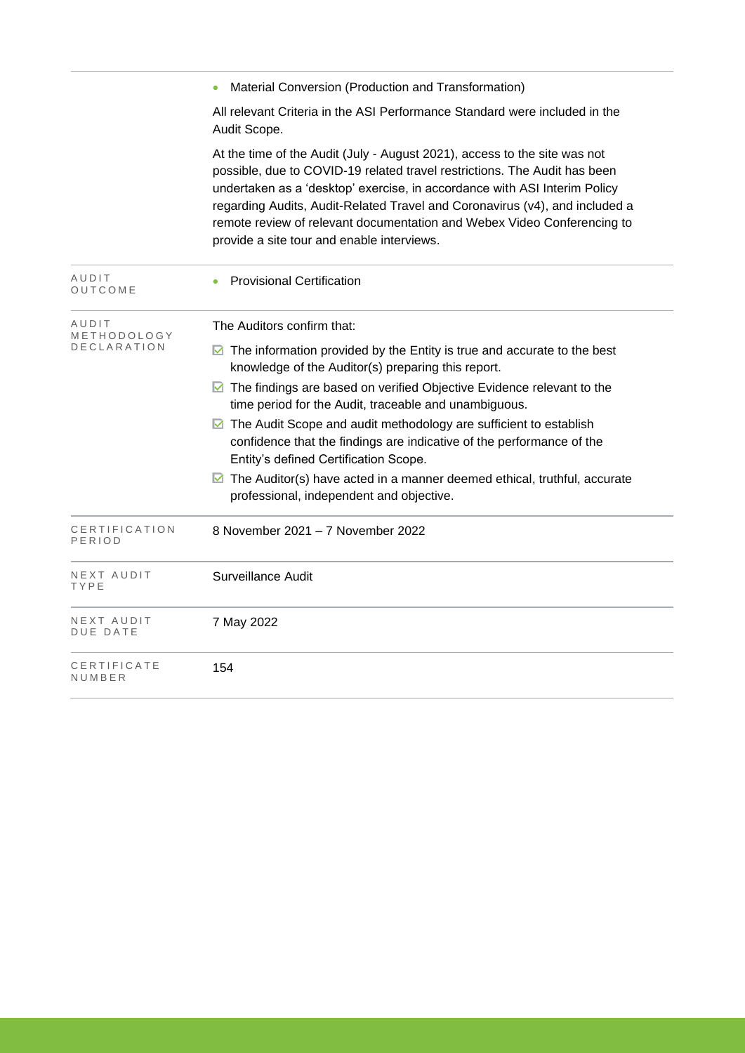|  |  |  |  |  | Material Conversion (Production and Transformation) |
|--|--|--|--|--|-----------------------------------------------------|
|--|--|--|--|--|-----------------------------------------------------|

All relevant Criteria in the ASI Performance Standard were included in the Audit Scope.

At the time of the Audit (July - August 2021), access to the site was not possible, due to COVID-19 related travel restrictions. The Audit has been undertaken as a 'desktop' exercise, in accordance with ASI Interim Policy regarding Audits, Audit-Related Travel and Coronavirus (v4), and included a remote review of relevant documentation and Webex Video Conferencing to provide a site tour and enable interviews.

| AUDIT<br>OUTCOME                           | <b>Provisional Certification</b>                                                                                                                                                                                                                                                                                                                                                            |  |  |
|--------------------------------------------|---------------------------------------------------------------------------------------------------------------------------------------------------------------------------------------------------------------------------------------------------------------------------------------------------------------------------------------------------------------------------------------------|--|--|
| AUDIT<br>METHODOLOGY<br><b>DECLARATION</b> | The Auditors confirm that:<br>$\blacksquare$ The information provided by the Entity is true and accurate to the best<br>knowledge of the Auditor(s) preparing this report.<br>The findings are based on verified Objective Evidence relevant to the<br>M<br>time period for the Audit, traceable and unambiguous.<br>The Audit Scope and audit methodology are sufficient to establish<br>M |  |  |
|                                            | confidence that the findings are indicative of the performance of the<br>Entity's defined Certification Scope.<br>The Auditor(s) have acted in a manner deemed ethical, truthful, accurate<br>M<br>professional, independent and objective.                                                                                                                                                 |  |  |
| CERTIFICATION<br>PERIOD                    | 8 November 2021 - 7 November 2022                                                                                                                                                                                                                                                                                                                                                           |  |  |
| NEXT AUDIT<br>TYPE                         | Surveillance Audit                                                                                                                                                                                                                                                                                                                                                                          |  |  |
| NEXT AUDIT<br><b>DUE DATE</b>              | 7 May 2022                                                                                                                                                                                                                                                                                                                                                                                  |  |  |
| CERTIFICATE<br>NUMBER                      | 154                                                                                                                                                                                                                                                                                                                                                                                         |  |  |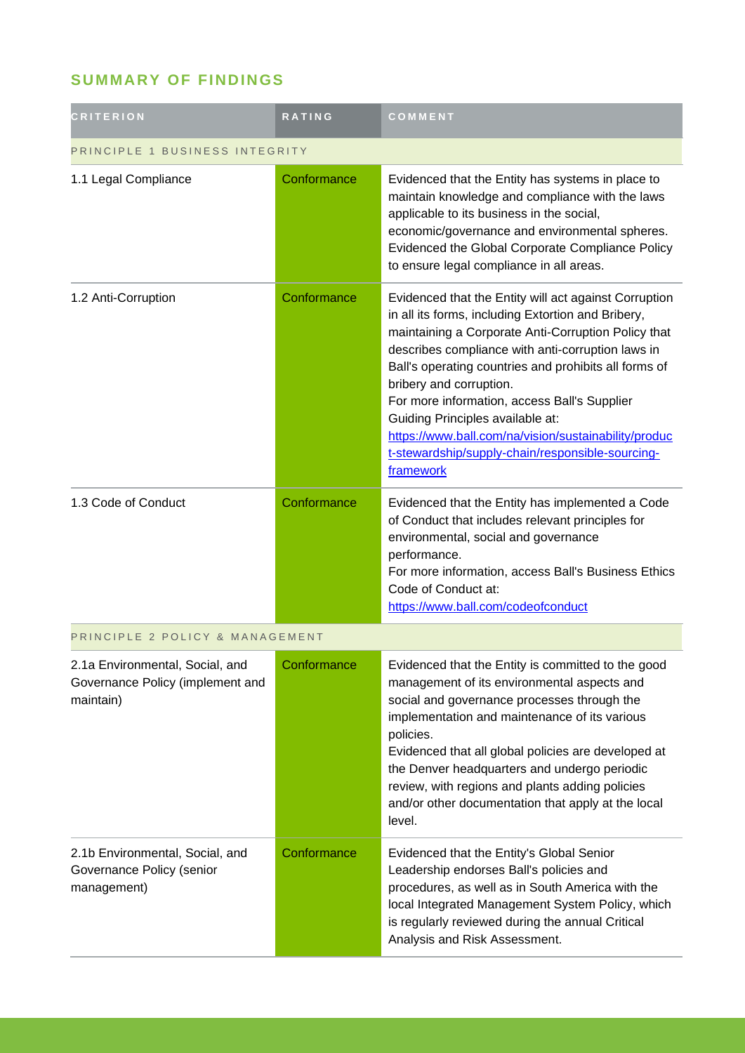## **SUMMARY OF FINDINGS**

| <b>CRITERION</b>                                                                 | <b>RATING</b> | COMMENT                                                                                                                                                                                                                                                                                                                                                                                                                                                                                                                  |  |  |
|----------------------------------------------------------------------------------|---------------|--------------------------------------------------------------------------------------------------------------------------------------------------------------------------------------------------------------------------------------------------------------------------------------------------------------------------------------------------------------------------------------------------------------------------------------------------------------------------------------------------------------------------|--|--|
| PRINCIPLE 1 BUSINESS INTEGRITY                                                   |               |                                                                                                                                                                                                                                                                                                                                                                                                                                                                                                                          |  |  |
| 1.1 Legal Compliance                                                             | Conformance   | Evidenced that the Entity has systems in place to<br>maintain knowledge and compliance with the laws<br>applicable to its business in the social,<br>economic/governance and environmental spheres.<br>Evidenced the Global Corporate Compliance Policy<br>to ensure legal compliance in all areas.                                                                                                                                                                                                                      |  |  |
| 1.2 Anti-Corruption                                                              | Conformance   | Evidenced that the Entity will act against Corruption<br>in all its forms, including Extortion and Bribery,<br>maintaining a Corporate Anti-Corruption Policy that<br>describes compliance with anti-corruption laws in<br>Ball's operating countries and prohibits all forms of<br>bribery and corruption.<br>For more information, access Ball's Supplier<br>Guiding Principles available at:<br>https://www.ball.com/na/vision/sustainability/produc<br>t-stewardship/supply-chain/responsible-sourcing-<br>framework |  |  |
| 1.3 Code of Conduct                                                              | Conformance   | Evidenced that the Entity has implemented a Code<br>of Conduct that includes relevant principles for<br>environmental, social and governance<br>performance.<br>For more information, access Ball's Business Ethics<br>Code of Conduct at:<br>https://www.ball.com/codeofconduct                                                                                                                                                                                                                                         |  |  |
| PRINCIPLE 2 POLICY & MANAGEMENT                                                  |               |                                                                                                                                                                                                                                                                                                                                                                                                                                                                                                                          |  |  |
| 2.1a Environmental, Social, and<br>Governance Policy (implement and<br>maintain) | Conformance   | Evidenced that the Entity is committed to the good<br>management of its environmental aspects and<br>social and governance processes through the<br>implementation and maintenance of its various<br>policies.<br>Evidenced that all global policies are developed at<br>the Denver headquarters and undergo periodic<br>review, with regions and plants adding policies<br>and/or other documentation that apply at the local<br>level.                                                                                 |  |  |
| 2.1b Environmental, Social, and<br>Governance Policy (senior<br>management)      | Conformance   | Evidenced that the Entity's Global Senior<br>Leadership endorses Ball's policies and<br>procedures, as well as in South America with the<br>local Integrated Management System Policy, which<br>is regularly reviewed during the annual Critical<br>Analysis and Risk Assessment.                                                                                                                                                                                                                                        |  |  |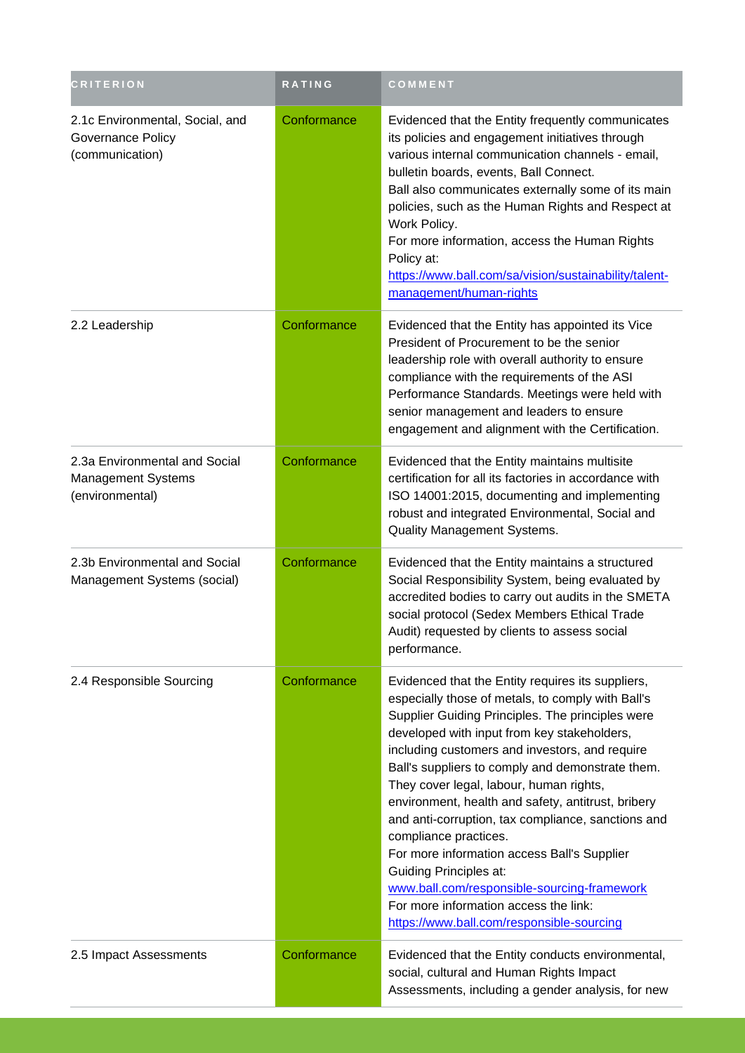| <b>CRITERION</b>                                                              | RATING      | COMMENT                                                                                                                                                                                                                                                                                                                                                                                                                                                                                                                                                                                                                                                                                                              |
|-------------------------------------------------------------------------------|-------------|----------------------------------------------------------------------------------------------------------------------------------------------------------------------------------------------------------------------------------------------------------------------------------------------------------------------------------------------------------------------------------------------------------------------------------------------------------------------------------------------------------------------------------------------------------------------------------------------------------------------------------------------------------------------------------------------------------------------|
| 2.1c Environmental, Social, and<br>Governance Policy<br>(communication)       | Conformance | Evidenced that the Entity frequently communicates<br>its policies and engagement initiatives through<br>various internal communication channels - email,<br>bulletin boards, events, Ball Connect.<br>Ball also communicates externally some of its main<br>policies, such as the Human Rights and Respect at<br>Work Policy.<br>For more information, access the Human Rights<br>Policy at:<br>https://www.ball.com/sa/vision/sustainability/talent-<br>management/human-rights                                                                                                                                                                                                                                     |
| 2.2 Leadership                                                                | Conformance | Evidenced that the Entity has appointed its Vice<br>President of Procurement to be the senior<br>leadership role with overall authority to ensure<br>compliance with the requirements of the ASI<br>Performance Standards. Meetings were held with<br>senior management and leaders to ensure<br>engagement and alignment with the Certification.                                                                                                                                                                                                                                                                                                                                                                    |
| 2.3a Environmental and Social<br><b>Management Systems</b><br>(environmental) | Conformance | Evidenced that the Entity maintains multisite<br>certification for all its factories in accordance with<br>ISO 14001:2015, documenting and implementing<br>robust and integrated Environmental, Social and<br>Quality Management Systems.                                                                                                                                                                                                                                                                                                                                                                                                                                                                            |
| 2.3b Environmental and Social<br>Management Systems (social)                  | Conformance | Evidenced that the Entity maintains a structured<br>Social Responsibility System, being evaluated by<br>accredited bodies to carry out audits in the SMETA<br>social protocol (Sedex Members Ethical Trade<br>Audit) requested by clients to assess social<br>performance.                                                                                                                                                                                                                                                                                                                                                                                                                                           |
| 2.4 Responsible Sourcing                                                      | Conformance | Evidenced that the Entity requires its suppliers,<br>especially those of metals, to comply with Ball's<br>Supplier Guiding Principles. The principles were<br>developed with input from key stakeholders,<br>including customers and investors, and require<br>Ball's suppliers to comply and demonstrate them.<br>They cover legal, labour, human rights,<br>environment, health and safety, antitrust, bribery<br>and anti-corruption, tax compliance, sanctions and<br>compliance practices.<br>For more information access Ball's Supplier<br><b>Guiding Principles at:</b><br>www.ball.com/responsible-sourcing-framework<br>For more information access the link:<br>https://www.ball.com/responsible-sourcing |
| 2.5 Impact Assessments                                                        | Conformance | Evidenced that the Entity conducts environmental,<br>social, cultural and Human Rights Impact<br>Assessments, including a gender analysis, for new                                                                                                                                                                                                                                                                                                                                                                                                                                                                                                                                                                   |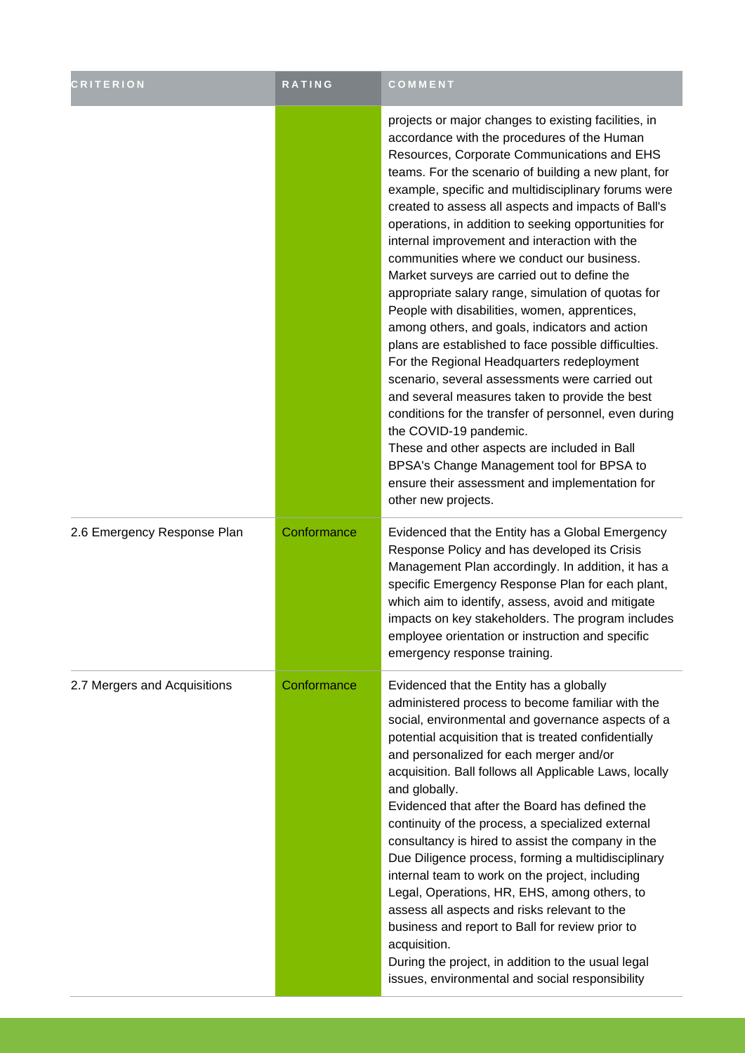| <b>CRITERION</b>             | <b>RATING</b> | COMMENT                                                                                                                                                                                                                                                                                                                                                                                                                                                                                                                                                                                                                                                                                                                                                                                                                                                                                                                                                                                                                                                                                                                                                     |
|------------------------------|---------------|-------------------------------------------------------------------------------------------------------------------------------------------------------------------------------------------------------------------------------------------------------------------------------------------------------------------------------------------------------------------------------------------------------------------------------------------------------------------------------------------------------------------------------------------------------------------------------------------------------------------------------------------------------------------------------------------------------------------------------------------------------------------------------------------------------------------------------------------------------------------------------------------------------------------------------------------------------------------------------------------------------------------------------------------------------------------------------------------------------------------------------------------------------------|
|                              |               | projects or major changes to existing facilities, in<br>accordance with the procedures of the Human<br>Resources, Corporate Communications and EHS<br>teams. For the scenario of building a new plant, for<br>example, specific and multidisciplinary forums were<br>created to assess all aspects and impacts of Ball's<br>operations, in addition to seeking opportunities for<br>internal improvement and interaction with the<br>communities where we conduct our business.<br>Market surveys are carried out to define the<br>appropriate salary range, simulation of quotas for<br>People with disabilities, women, apprentices,<br>among others, and goals, indicators and action<br>plans are established to face possible difficulties.<br>For the Regional Headquarters redeployment<br>scenario, several assessments were carried out<br>and several measures taken to provide the best<br>conditions for the transfer of personnel, even during<br>the COVID-19 pandemic.<br>These and other aspects are included in Ball<br>BPSA's Change Management tool for BPSA to<br>ensure their assessment and implementation for<br>other new projects. |
| 2.6 Emergency Response Plan  | Conformance   | Evidenced that the Entity has a Global Emergency<br>Response Policy and has developed its Crisis<br>Management Plan accordingly. In addition, it has a<br>specific Emergency Response Plan for each plant,<br>which aim to identify, assess, avoid and mitigate<br>impacts on key stakeholders. The program includes<br>employee orientation or instruction and specific<br>emergency response training.                                                                                                                                                                                                                                                                                                                                                                                                                                                                                                                                                                                                                                                                                                                                                    |
| 2.7 Mergers and Acquisitions | Conformance   | Evidenced that the Entity has a globally<br>administered process to become familiar with the<br>social, environmental and governance aspects of a<br>potential acquisition that is treated confidentially<br>and personalized for each merger and/or<br>acquisition. Ball follows all Applicable Laws, locally<br>and globally.<br>Evidenced that after the Board has defined the<br>continuity of the process, a specialized external<br>consultancy is hired to assist the company in the<br>Due Diligence process, forming a multidisciplinary<br>internal team to work on the project, including<br>Legal, Operations, HR, EHS, among others, to<br>assess all aspects and risks relevant to the<br>business and report to Ball for review prior to<br>acquisition.<br>During the project, in addition to the usual legal<br>issues, environmental and social responsibility                                                                                                                                                                                                                                                                            |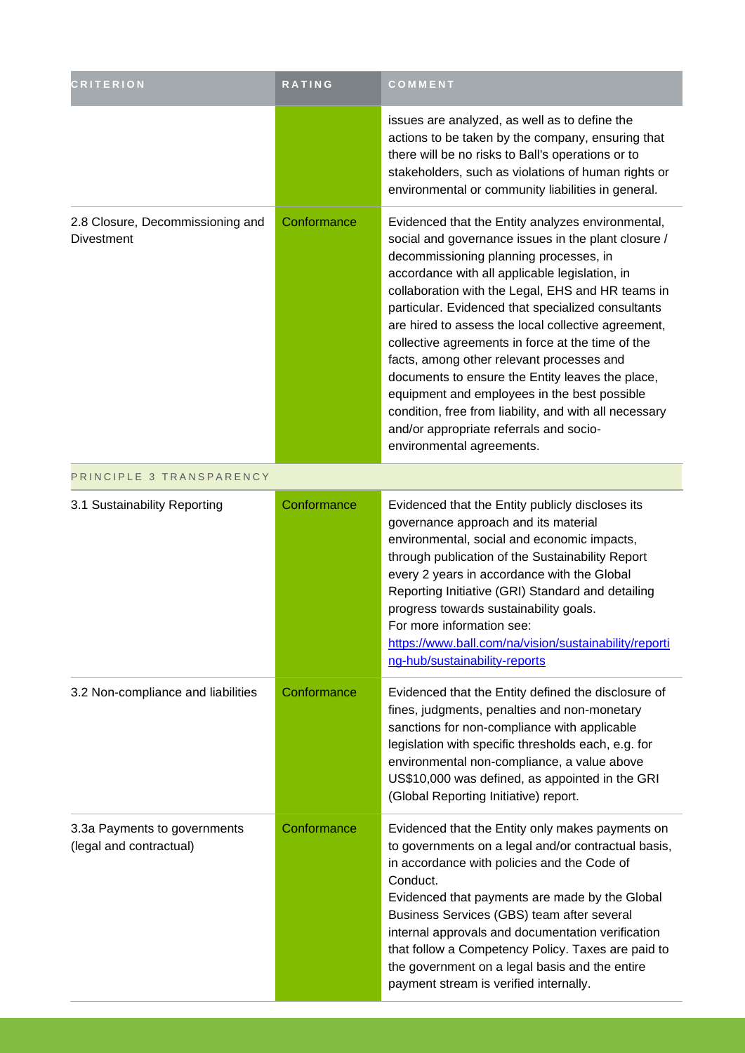| <b>CRITERION</b>                                        | RATING      | COMMENT                                                                                                                                                                                                                                                                                                                                                                                                                                                                                                                                                                                                                                                                                                        |
|---------------------------------------------------------|-------------|----------------------------------------------------------------------------------------------------------------------------------------------------------------------------------------------------------------------------------------------------------------------------------------------------------------------------------------------------------------------------------------------------------------------------------------------------------------------------------------------------------------------------------------------------------------------------------------------------------------------------------------------------------------------------------------------------------------|
|                                                         |             | issues are analyzed, as well as to define the<br>actions to be taken by the company, ensuring that<br>there will be no risks to Ball's operations or to<br>stakeholders, such as violations of human rights or<br>environmental or community liabilities in general.                                                                                                                                                                                                                                                                                                                                                                                                                                           |
| 2.8 Closure, Decommissioning and<br><b>Divestment</b>   | Conformance | Evidenced that the Entity analyzes environmental,<br>social and governance issues in the plant closure /<br>decommissioning planning processes, in<br>accordance with all applicable legislation, in<br>collaboration with the Legal, EHS and HR teams in<br>particular. Evidenced that specialized consultants<br>are hired to assess the local collective agreement,<br>collective agreements in force at the time of the<br>facts, among other relevant processes and<br>documents to ensure the Entity leaves the place,<br>equipment and employees in the best possible<br>condition, free from liability, and with all necessary<br>and/or appropriate referrals and socio-<br>environmental agreements. |
| PRINCIPLE 3 TRANSPARENCY                                |             |                                                                                                                                                                                                                                                                                                                                                                                                                                                                                                                                                                                                                                                                                                                |
| 3.1 Sustainability Reporting                            | Conformance | Evidenced that the Entity publicly discloses its<br>governance approach and its material<br>environmental, social and economic impacts,<br>through publication of the Sustainability Report<br>every 2 years in accordance with the Global<br>Reporting Initiative (GRI) Standard and detailing<br>progress towards sustainability goals.<br>For more information see:<br>https://www.ball.com/na/vision/sustainability/reporti<br>ng-hub/sustainability-reports                                                                                                                                                                                                                                               |
| 3.2 Non-compliance and liabilities                      | Conformance | Evidenced that the Entity defined the disclosure of<br>fines, judgments, penalties and non-monetary<br>sanctions for non-compliance with applicable<br>legislation with specific thresholds each, e.g. for<br>environmental non-compliance, a value above<br>US\$10,000 was defined, as appointed in the GRI<br>(Global Reporting Initiative) report.                                                                                                                                                                                                                                                                                                                                                          |
| 3.3a Payments to governments<br>(legal and contractual) | Conformance | Evidenced that the Entity only makes payments on<br>to governments on a legal and/or contractual basis,<br>in accordance with policies and the Code of<br>Conduct.<br>Evidenced that payments are made by the Global<br>Business Services (GBS) team after several<br>internal approvals and documentation verification<br>that follow a Competency Policy. Taxes are paid to<br>the government on a legal basis and the entire<br>payment stream is verified internally.                                                                                                                                                                                                                                      |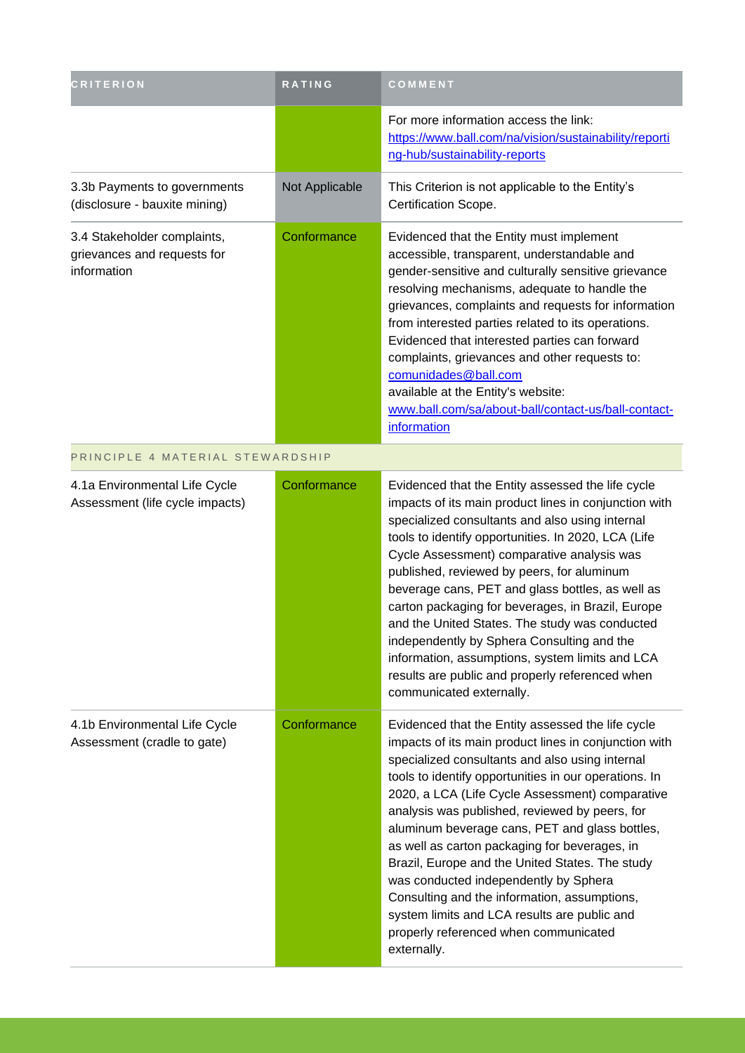| <b>CRITERION</b>                                                          | RATING         | COMMENT                                                                                                                                                                                                                                                                                                                                                                                                                                                                                                                                                                                                                                                                            |
|---------------------------------------------------------------------------|----------------|------------------------------------------------------------------------------------------------------------------------------------------------------------------------------------------------------------------------------------------------------------------------------------------------------------------------------------------------------------------------------------------------------------------------------------------------------------------------------------------------------------------------------------------------------------------------------------------------------------------------------------------------------------------------------------|
|                                                                           |                | For more information access the link:<br>https://www.ball.com/na/vision/sustainability/reporti<br>ng-hub/sustainability-reports                                                                                                                                                                                                                                                                                                                                                                                                                                                                                                                                                    |
| 3.3b Payments to governments<br>(disclosure - bauxite mining)             | Not Applicable | This Criterion is not applicable to the Entity's<br>Certification Scope.                                                                                                                                                                                                                                                                                                                                                                                                                                                                                                                                                                                                           |
| 3.4 Stakeholder complaints,<br>grievances and requests for<br>information | Conformance    | Evidenced that the Entity must implement<br>accessible, transparent, understandable and<br>gender-sensitive and culturally sensitive grievance<br>resolving mechanisms, adequate to handle the<br>grievances, complaints and requests for information<br>from interested parties related to its operations.<br>Evidenced that interested parties can forward<br>complaints, grievances and other requests to:<br>comunidades@ball.com<br>available at the Entity's website:<br>www.ball.com/sa/about-ball/contact-us/ball-contact-<br>information                                                                                                                                  |
| PRINCIPLE 4 MATERIAL STEWARDSHIP                                          |                |                                                                                                                                                                                                                                                                                                                                                                                                                                                                                                                                                                                                                                                                                    |
| 4.1a Environmental Life Cycle<br>Assessment (life cycle impacts)          | Conformance    | Evidenced that the Entity assessed the life cycle<br>impacts of its main product lines in conjunction with<br>specialized consultants and also using internal<br>tools to identify opportunities. In 2020, LCA (Life<br>Cycle Assessment) comparative analysis was<br>published, reviewed by peers, for aluminum<br>beverage cans, PET and glass bottles, as well as<br>carton packaging for beverages, in Brazil, Europe<br>and the United States. The study was conducted<br>independently by Sphera Consulting and the<br>information, assumptions, system limits and LCA<br>results are public and properly referenced when<br>communicated externally.                        |
| 4.1b Environmental Life Cycle<br>Assessment (cradle to gate)              | Conformance    | Evidenced that the Entity assessed the life cycle<br>impacts of its main product lines in conjunction with<br>specialized consultants and also using internal<br>tools to identify opportunities in our operations. In<br>2020, a LCA (Life Cycle Assessment) comparative<br>analysis was published, reviewed by peers, for<br>aluminum beverage cans, PET and glass bottles,<br>as well as carton packaging for beverages, in<br>Brazil, Europe and the United States. The study<br>was conducted independently by Sphera<br>Consulting and the information, assumptions,<br>system limits and LCA results are public and<br>properly referenced when communicated<br>externally. |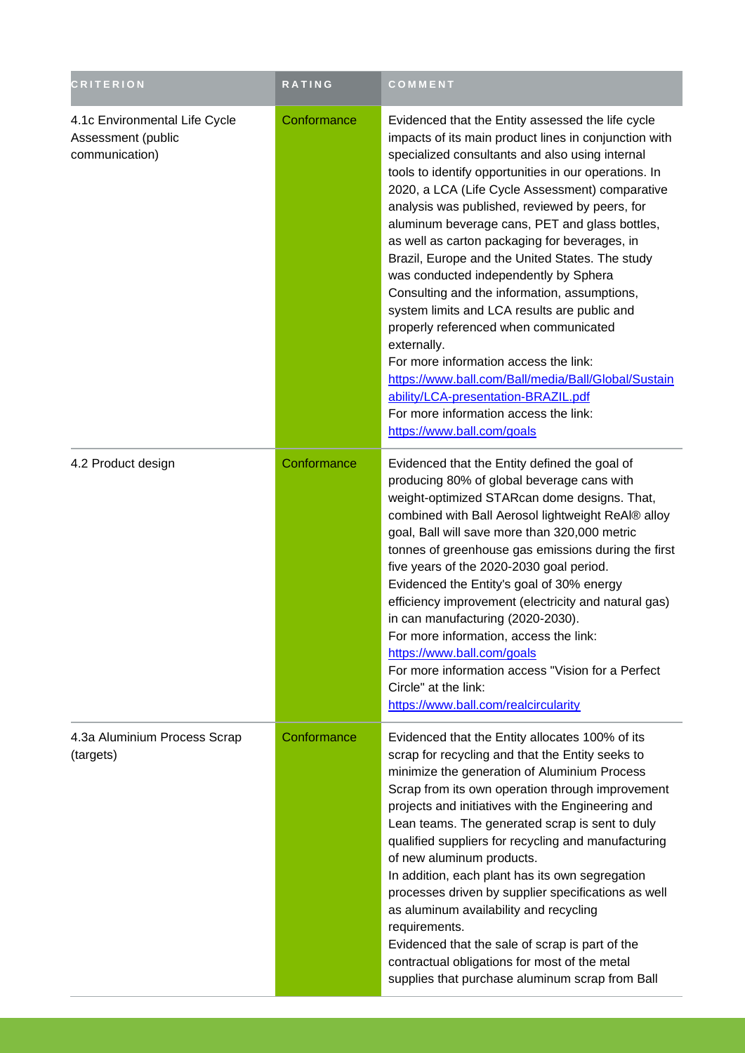| <b>CRITERION</b>                                                      | <b>RATING</b> | COMMENT                                                                                                                                                                                                                                                                                                                                                                                                                                                                                                                                                                                                                                                                                                                                                                                                                                                                                          |
|-----------------------------------------------------------------------|---------------|--------------------------------------------------------------------------------------------------------------------------------------------------------------------------------------------------------------------------------------------------------------------------------------------------------------------------------------------------------------------------------------------------------------------------------------------------------------------------------------------------------------------------------------------------------------------------------------------------------------------------------------------------------------------------------------------------------------------------------------------------------------------------------------------------------------------------------------------------------------------------------------------------|
| 4.1c Environmental Life Cycle<br>Assessment (public<br>communication) | Conformance   | Evidenced that the Entity assessed the life cycle<br>impacts of its main product lines in conjunction with<br>specialized consultants and also using internal<br>tools to identify opportunities in our operations. In<br>2020, a LCA (Life Cycle Assessment) comparative<br>analysis was published, reviewed by peers, for<br>aluminum beverage cans, PET and glass bottles,<br>as well as carton packaging for beverages, in<br>Brazil, Europe and the United States. The study<br>was conducted independently by Sphera<br>Consulting and the information, assumptions,<br>system limits and LCA results are public and<br>properly referenced when communicated<br>externally.<br>For more information access the link:<br>https://www.ball.com/Ball/media/Ball/Global/Sustain<br>ability/LCA-presentation-BRAZIL.pdf<br>For more information access the link:<br>https://www.ball.com/goals |
| 4.2 Product design                                                    | Conformance   | Evidenced that the Entity defined the goal of<br>producing 80% of global beverage cans with<br>weight-optimized STARcan dome designs. That,<br>combined with Ball Aerosol lightweight ReAl® alloy<br>goal, Ball will save more than 320,000 metric<br>tonnes of greenhouse gas emissions during the first<br>five years of the 2020-2030 goal period.<br>Evidenced the Entity's goal of 30% energy<br>efficiency improvement (electricity and natural gas)<br>in can manufacturing (2020-2030).<br>For more information, access the link:<br>https://www.ball.com/goals<br>For more information access "Vision for a Perfect<br>Circle" at the link:<br>https://www.ball.com/realcircularity                                                                                                                                                                                                     |
| 4.3a Aluminium Process Scrap<br>(targets)                             | Conformance   | Evidenced that the Entity allocates 100% of its<br>scrap for recycling and that the Entity seeks to<br>minimize the generation of Aluminium Process<br>Scrap from its own operation through improvement<br>projects and initiatives with the Engineering and<br>Lean teams. The generated scrap is sent to duly<br>qualified suppliers for recycling and manufacturing<br>of new aluminum products.<br>In addition, each plant has its own segregation<br>processes driven by supplier specifications as well<br>as aluminum availability and recycling<br>requirements.<br>Evidenced that the sale of scrap is part of the<br>contractual obligations for most of the metal<br>supplies that purchase aluminum scrap from Ball                                                                                                                                                                  |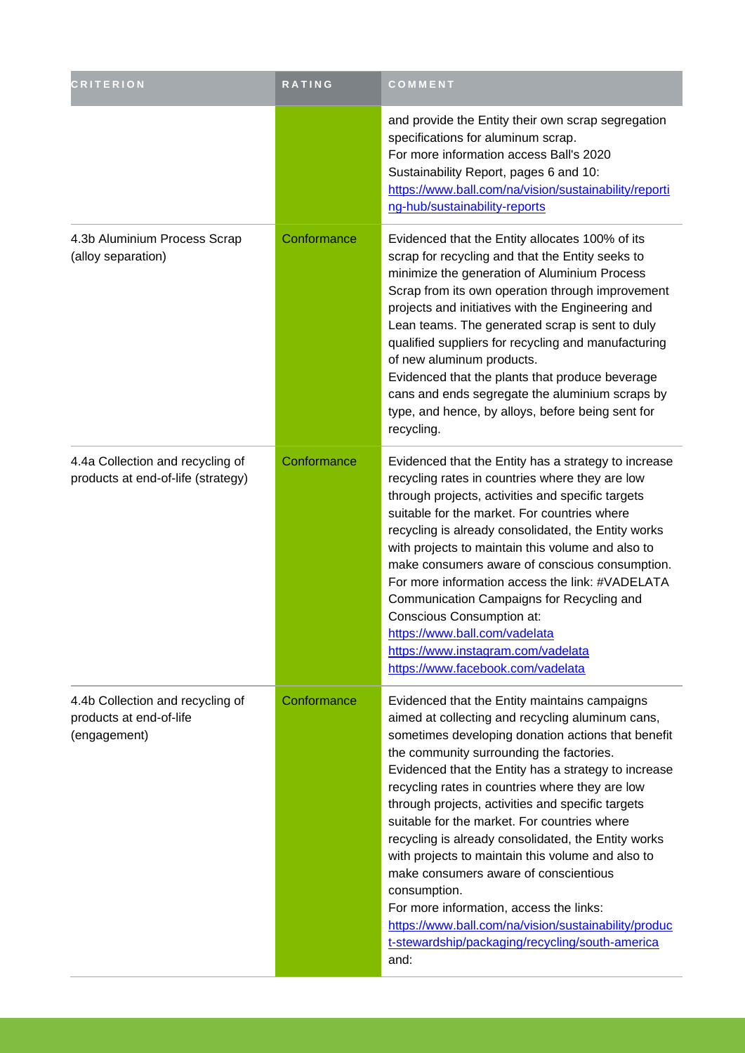| <b>CRITERION</b>                                                            | <b>RATING</b> | COMMENT                                                                                                                                                                                                                                                                                                                                                                                                                                                                                                                                                                                                                                                                                                                                                |
|-----------------------------------------------------------------------------|---------------|--------------------------------------------------------------------------------------------------------------------------------------------------------------------------------------------------------------------------------------------------------------------------------------------------------------------------------------------------------------------------------------------------------------------------------------------------------------------------------------------------------------------------------------------------------------------------------------------------------------------------------------------------------------------------------------------------------------------------------------------------------|
|                                                                             |               | and provide the Entity their own scrap segregation<br>specifications for aluminum scrap.<br>For more information access Ball's 2020<br>Sustainability Report, pages 6 and 10:<br>https://www.ball.com/na/vision/sustainability/reporti<br>ng-hub/sustainability-reports                                                                                                                                                                                                                                                                                                                                                                                                                                                                                |
| 4.3b Aluminium Process Scrap<br>(alloy separation)                          | Conformance   | Evidenced that the Entity allocates 100% of its<br>scrap for recycling and that the Entity seeks to<br>minimize the generation of Aluminium Process<br>Scrap from its own operation through improvement<br>projects and initiatives with the Engineering and<br>Lean teams. The generated scrap is sent to duly<br>qualified suppliers for recycling and manufacturing<br>of new aluminum products.<br>Evidenced that the plants that produce beverage<br>cans and ends segregate the aluminium scraps by<br>type, and hence, by alloys, before being sent for<br>recycling.                                                                                                                                                                           |
| 4.4a Collection and recycling of<br>products at end-of-life (strategy)      | Conformance   | Evidenced that the Entity has a strategy to increase<br>recycling rates in countries where they are low<br>through projects, activities and specific targets<br>suitable for the market. For countries where<br>recycling is already consolidated, the Entity works<br>with projects to maintain this volume and also to<br>make consumers aware of conscious consumption.<br>For more information access the link: #VADELATA<br>Communication Campaigns for Recycling and<br>Conscious Consumption at:<br>https://www.ball.com/vadelata<br>https://www.instagram.com/vadelata<br>https://www.facebook.com/vadelata                                                                                                                                    |
| 4.4b Collection and recycling of<br>products at end-of-life<br>(engagement) | Conformance   | Evidenced that the Entity maintains campaigns<br>aimed at collecting and recycling aluminum cans,<br>sometimes developing donation actions that benefit<br>the community surrounding the factories.<br>Evidenced that the Entity has a strategy to increase<br>recycling rates in countries where they are low<br>through projects, activities and specific targets<br>suitable for the market. For countries where<br>recycling is already consolidated, the Entity works<br>with projects to maintain this volume and also to<br>make consumers aware of conscientious<br>consumption.<br>For more information, access the links:<br>https://www.ball.com/na/vision/sustainability/produc<br>t-stewardship/packaging/recycling/south-america<br>and: |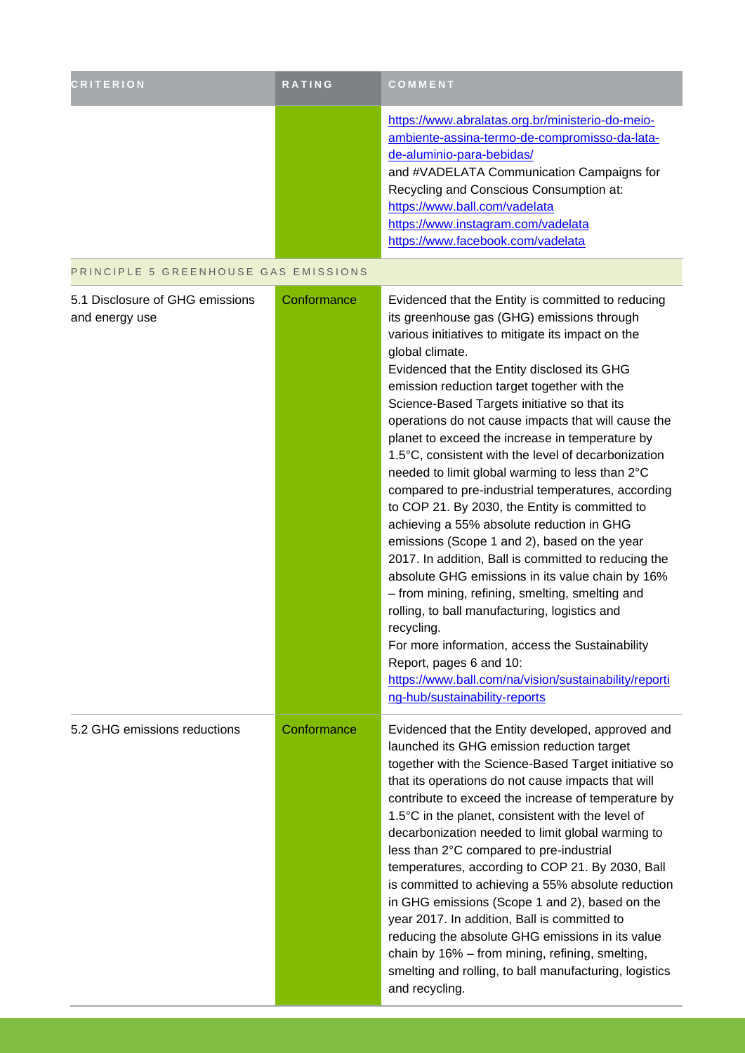| <b>CRITERION</b>                                  | RATING      | COMMENT                                                                                                                                                                                                                                                                                                                                                                                                                                                                                                                                                                                                                                                                                                                                                                                                                                                                                                                                                                                                                                                                                                                                               |
|---------------------------------------------------|-------------|-------------------------------------------------------------------------------------------------------------------------------------------------------------------------------------------------------------------------------------------------------------------------------------------------------------------------------------------------------------------------------------------------------------------------------------------------------------------------------------------------------------------------------------------------------------------------------------------------------------------------------------------------------------------------------------------------------------------------------------------------------------------------------------------------------------------------------------------------------------------------------------------------------------------------------------------------------------------------------------------------------------------------------------------------------------------------------------------------------------------------------------------------------|
|                                                   |             | https://www.abralatas.org.br/ministerio-do-meio-<br>ambiente-assina-termo-de-compromisso-da-lata-<br>de-aluminio-para-bebidas/<br>and #VADELATA Communication Campaigns for<br>Recycling and Conscious Consumption at:<br>https://www.ball.com/vadelata<br>https://www.instagram.com/vadelata<br>https://www.facebook.com/vadelata                                                                                                                                                                                                                                                                                                                                                                                                                                                                                                                                                                                                                                                                                                                                                                                                                    |
| PRINCIPLE 5 GREENHOUSE GAS EMISSIONS              |             |                                                                                                                                                                                                                                                                                                                                                                                                                                                                                                                                                                                                                                                                                                                                                                                                                                                                                                                                                                                                                                                                                                                                                       |
| 5.1 Disclosure of GHG emissions<br>and energy use | Conformance | Evidenced that the Entity is committed to reducing<br>its greenhouse gas (GHG) emissions through<br>various initiatives to mitigate its impact on the<br>global climate.<br>Evidenced that the Entity disclosed its GHG<br>emission reduction target together with the<br>Science-Based Targets initiative so that its<br>operations do not cause impacts that will cause the<br>planet to exceed the increase in temperature by<br>1.5°C, consistent with the level of decarbonization<br>needed to limit global warming to less than 2°C<br>compared to pre-industrial temperatures, according<br>to COP 21. By 2030, the Entity is committed to<br>achieving a 55% absolute reduction in GHG<br>emissions (Scope 1 and 2), based on the year<br>2017. In addition, Ball is committed to reducing the<br>absolute GHG emissions in its value chain by 16%<br>- from mining, refining, smelting, smelting and<br>rolling, to ball manufacturing, logistics and<br>recycling.<br>For more information, access the Sustainability<br>Report, pages 6 and 10:<br>https://www.ball.com/na/vision/sustainability/reporti<br>ng-hub/sustainability-reports |
| 5.2 GHG emissions reductions                      | Conformance | Evidenced that the Entity developed, approved and<br>launched its GHG emission reduction target<br>together with the Science-Based Target initiative so<br>that its operations do not cause impacts that will<br>contribute to exceed the increase of temperature by<br>1.5°C in the planet, consistent with the level of<br>decarbonization needed to limit global warming to<br>less than 2°C compared to pre-industrial<br>temperatures, according to COP 21. By 2030, Ball<br>is committed to achieving a 55% absolute reduction<br>in GHG emissions (Scope 1 and 2), based on the<br>year 2017. In addition, Ball is committed to<br>reducing the absolute GHG emissions in its value<br>chain by 16% – from mining, refining, smelting,<br>smelting and rolling, to ball manufacturing, logistics<br>and recycling.                                                                                                                                                                                                                                                                                                                             |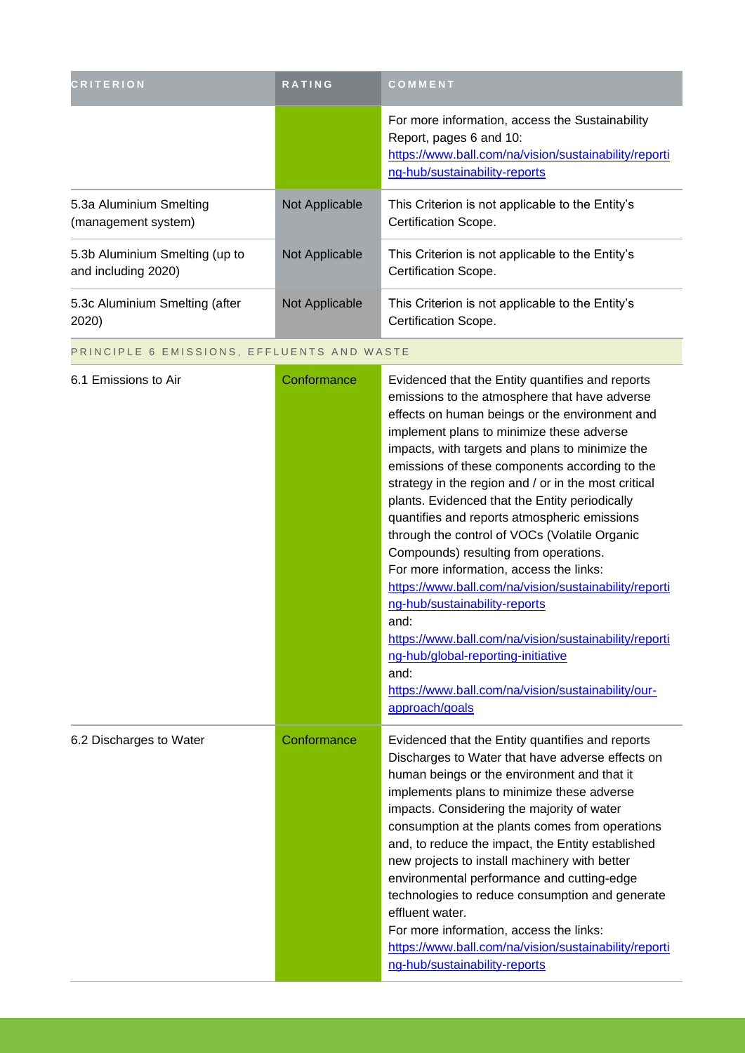| CRITERION                                             | <b>RATING</b>  | <b>COMMENT</b>                                                                                                                                                       |  |
|-------------------------------------------------------|----------------|----------------------------------------------------------------------------------------------------------------------------------------------------------------------|--|
|                                                       |                | For more information, access the Sustainability<br>Report, pages 6 and 10:<br>https://www.ball.com/na/vision/sustainability/reporti<br>ng-hub/sustainability-reports |  |
| 5.3a Aluminium Smelting<br>(management system)        | Not Applicable | This Criterion is not applicable to the Entity's<br>Certification Scope.                                                                                             |  |
| 5.3b Aluminium Smelting (up to<br>and including 2020) | Not Applicable | This Criterion is not applicable to the Entity's<br>Certification Scope.                                                                                             |  |
| 5.3c Aluminium Smelting (after<br>2020)               | Not Applicable | This Criterion is not applicable to the Entity's<br>Certification Scope.                                                                                             |  |

PRINCIPLE 6 EMISSIONS, EFFLUENTS AND WASTE

| 6.1 Emissions to Air    | Conformance | Evidenced that the Entity quantifies and reports<br>emissions to the atmosphere that have adverse<br>effects on human beings or the environment and<br>implement plans to minimize these adverse<br>impacts, with targets and plans to minimize the<br>emissions of these components according to the<br>strategy in the region and / or in the most critical<br>plants. Evidenced that the Entity periodically<br>quantifies and reports atmospheric emissions<br>through the control of VOCs (Volatile Organic<br>Compounds) resulting from operations.<br>For more information, access the links:<br>https://www.ball.com/na/vision/sustainability/reporti<br>ng-hub/sustainability-reports<br>and:<br>https://www.ball.com/na/vision/sustainability/reporti<br>ng-hub/global-reporting-initiative<br>and:<br>https://www.ball.com/na/vision/sustainability/our-<br>approach/goals |
|-------------------------|-------------|---------------------------------------------------------------------------------------------------------------------------------------------------------------------------------------------------------------------------------------------------------------------------------------------------------------------------------------------------------------------------------------------------------------------------------------------------------------------------------------------------------------------------------------------------------------------------------------------------------------------------------------------------------------------------------------------------------------------------------------------------------------------------------------------------------------------------------------------------------------------------------------|
| 6.2 Discharges to Water | Conformance | Evidenced that the Entity quantifies and reports<br>Discharges to Water that have adverse effects on<br>human beings or the environment and that it<br>implements plans to minimize these adverse<br>impacts. Considering the majority of water<br>consumption at the plants comes from operations<br>and, to reduce the impact, the Entity established<br>new projects to install machinery with better<br>environmental performance and cutting-edge<br>technologies to reduce consumption and generate<br>effluent water.<br>For more information, access the links:<br>https://www.ball.com/na/vision/sustainability/reporti<br>ng-hub/sustainability-reports                                                                                                                                                                                                                     |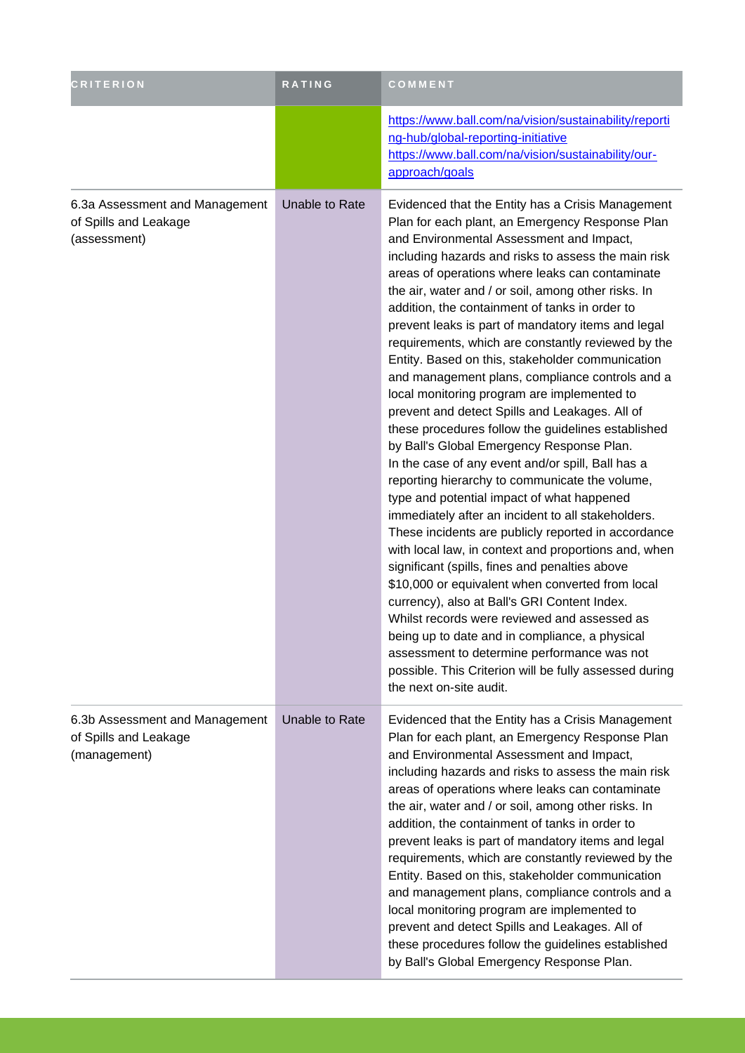| <b>CRITERION</b>                                                        | <b>RATING</b>  | COMMENT                                                                                                                                                                                                                                                                                                                                                                                                                                                                                                                                                                                                                                                                                                                                                                                                                                                                                                                                                                                                                                                                                                                                                                                                                                                                                                                                                                                                                                                                                                          |
|-------------------------------------------------------------------------|----------------|------------------------------------------------------------------------------------------------------------------------------------------------------------------------------------------------------------------------------------------------------------------------------------------------------------------------------------------------------------------------------------------------------------------------------------------------------------------------------------------------------------------------------------------------------------------------------------------------------------------------------------------------------------------------------------------------------------------------------------------------------------------------------------------------------------------------------------------------------------------------------------------------------------------------------------------------------------------------------------------------------------------------------------------------------------------------------------------------------------------------------------------------------------------------------------------------------------------------------------------------------------------------------------------------------------------------------------------------------------------------------------------------------------------------------------------------------------------------------------------------------------------|
|                                                                         |                | https://www.ball.com/na/vision/sustainability/reporti<br>ng-hub/global-reporting-initiative<br>https://www.ball.com/na/vision/sustainability/our-<br>approach/goals                                                                                                                                                                                                                                                                                                                                                                                                                                                                                                                                                                                                                                                                                                                                                                                                                                                                                                                                                                                                                                                                                                                                                                                                                                                                                                                                              |
| 6.3a Assessment and Management<br>of Spills and Leakage<br>(assessment) | Unable to Rate | Evidenced that the Entity has a Crisis Management<br>Plan for each plant, an Emergency Response Plan<br>and Environmental Assessment and Impact,<br>including hazards and risks to assess the main risk<br>areas of operations where leaks can contaminate<br>the air, water and / or soil, among other risks. In<br>addition, the containment of tanks in order to<br>prevent leaks is part of mandatory items and legal<br>requirements, which are constantly reviewed by the<br>Entity. Based on this, stakeholder communication<br>and management plans, compliance controls and a<br>local monitoring program are implemented to<br>prevent and detect Spills and Leakages. All of<br>these procedures follow the guidelines established<br>by Ball's Global Emergency Response Plan.<br>In the case of any event and/or spill, Ball has a<br>reporting hierarchy to communicate the volume,<br>type and potential impact of what happened<br>immediately after an incident to all stakeholders.<br>These incidents are publicly reported in accordance<br>with local law, in context and proportions and, when<br>significant (spills, fines and penalties above<br>\$10,000 or equivalent when converted from local<br>currency), also at Ball's GRI Content Index.<br>Whilst records were reviewed and assessed as<br>being up to date and in compliance, a physical<br>assessment to determine performance was not<br>possible. This Criterion will be fully assessed during<br>the next on-site audit. |
| 6.3b Assessment and Management<br>of Spills and Leakage<br>(management) | Unable to Rate | Evidenced that the Entity has a Crisis Management<br>Plan for each plant, an Emergency Response Plan<br>and Environmental Assessment and Impact,<br>including hazards and risks to assess the main risk<br>areas of operations where leaks can contaminate<br>the air, water and / or soil, among other risks. In<br>addition, the containment of tanks in order to<br>prevent leaks is part of mandatory items and legal<br>requirements, which are constantly reviewed by the<br>Entity. Based on this, stakeholder communication<br>and management plans, compliance controls and a<br>local monitoring program are implemented to<br>prevent and detect Spills and Leakages. All of<br>these procedures follow the guidelines established<br>by Ball's Global Emergency Response Plan.                                                                                                                                                                                                                                                                                                                                                                                                                                                                                                                                                                                                                                                                                                                       |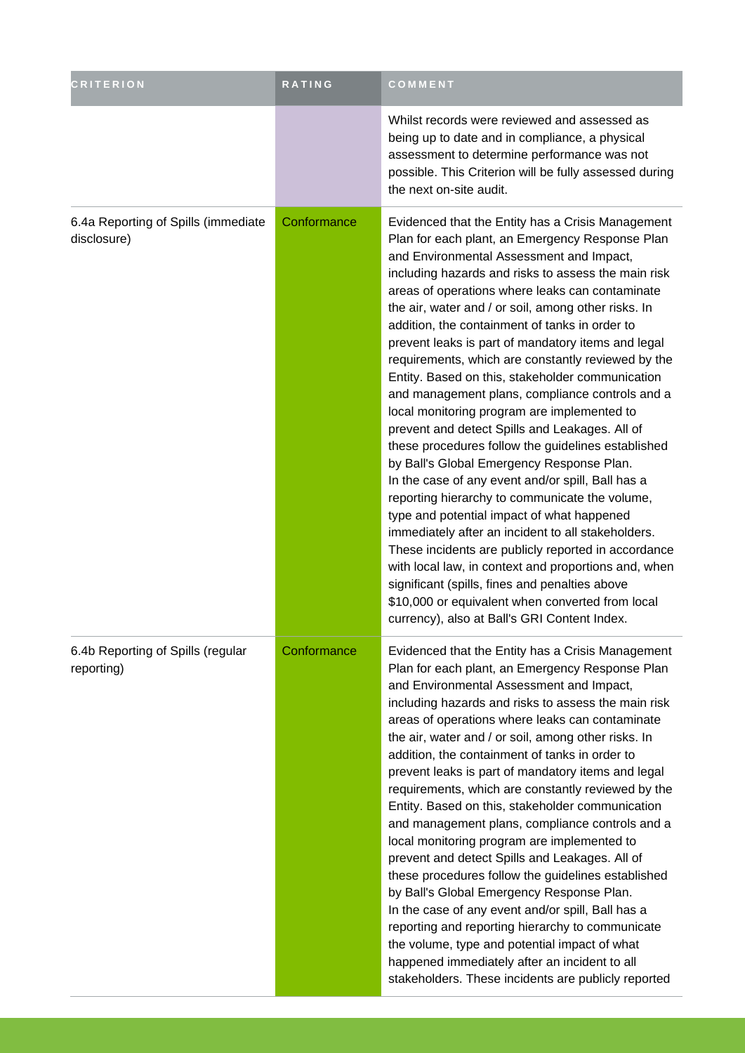| <b>CRITERION</b>                                   | <b>RATING</b> | COMMENT                                                                                                                                                                                                                                                                                                                                                                                                                                                                                                                                                                                                                                                                                                                                                                                                                                                                                                                                                                                                                                                                                                                                                                                                                                                                    |
|----------------------------------------------------|---------------|----------------------------------------------------------------------------------------------------------------------------------------------------------------------------------------------------------------------------------------------------------------------------------------------------------------------------------------------------------------------------------------------------------------------------------------------------------------------------------------------------------------------------------------------------------------------------------------------------------------------------------------------------------------------------------------------------------------------------------------------------------------------------------------------------------------------------------------------------------------------------------------------------------------------------------------------------------------------------------------------------------------------------------------------------------------------------------------------------------------------------------------------------------------------------------------------------------------------------------------------------------------------------|
|                                                    |               | Whilst records were reviewed and assessed as<br>being up to date and in compliance, a physical<br>assessment to determine performance was not<br>possible. This Criterion will be fully assessed during<br>the next on-site audit.                                                                                                                                                                                                                                                                                                                                                                                                                                                                                                                                                                                                                                                                                                                                                                                                                                                                                                                                                                                                                                         |
| 6.4a Reporting of Spills (immediate<br>disclosure) | Conformance   | Evidenced that the Entity has a Crisis Management<br>Plan for each plant, an Emergency Response Plan<br>and Environmental Assessment and Impact,<br>including hazards and risks to assess the main risk<br>areas of operations where leaks can contaminate<br>the air, water and / or soil, among other risks. In<br>addition, the containment of tanks in order to<br>prevent leaks is part of mandatory items and legal<br>requirements, which are constantly reviewed by the<br>Entity. Based on this, stakeholder communication<br>and management plans, compliance controls and a<br>local monitoring program are implemented to<br>prevent and detect Spills and Leakages. All of<br>these procedures follow the guidelines established<br>by Ball's Global Emergency Response Plan.<br>In the case of any event and/or spill, Ball has a<br>reporting hierarchy to communicate the volume,<br>type and potential impact of what happened<br>immediately after an incident to all stakeholders.<br>These incidents are publicly reported in accordance<br>with local law, in context and proportions and, when<br>significant (spills, fines and penalties above<br>\$10,000 or equivalent when converted from local<br>currency), also at Ball's GRI Content Index. |
| 6.4b Reporting of Spills (regular<br>reporting)    | Conformance   | Evidenced that the Entity has a Crisis Management<br>Plan for each plant, an Emergency Response Plan<br>and Environmental Assessment and Impact,<br>including hazards and risks to assess the main risk<br>areas of operations where leaks can contaminate<br>the air, water and / or soil, among other risks. In<br>addition, the containment of tanks in order to<br>prevent leaks is part of mandatory items and legal<br>requirements, which are constantly reviewed by the<br>Entity. Based on this, stakeholder communication<br>and management plans, compliance controls and a<br>local monitoring program are implemented to<br>prevent and detect Spills and Leakages. All of<br>these procedures follow the guidelines established<br>by Ball's Global Emergency Response Plan.<br>In the case of any event and/or spill, Ball has a<br>reporting and reporting hierarchy to communicate<br>the volume, type and potential impact of what<br>happened immediately after an incident to all<br>stakeholders. These incidents are publicly reported                                                                                                                                                                                                               |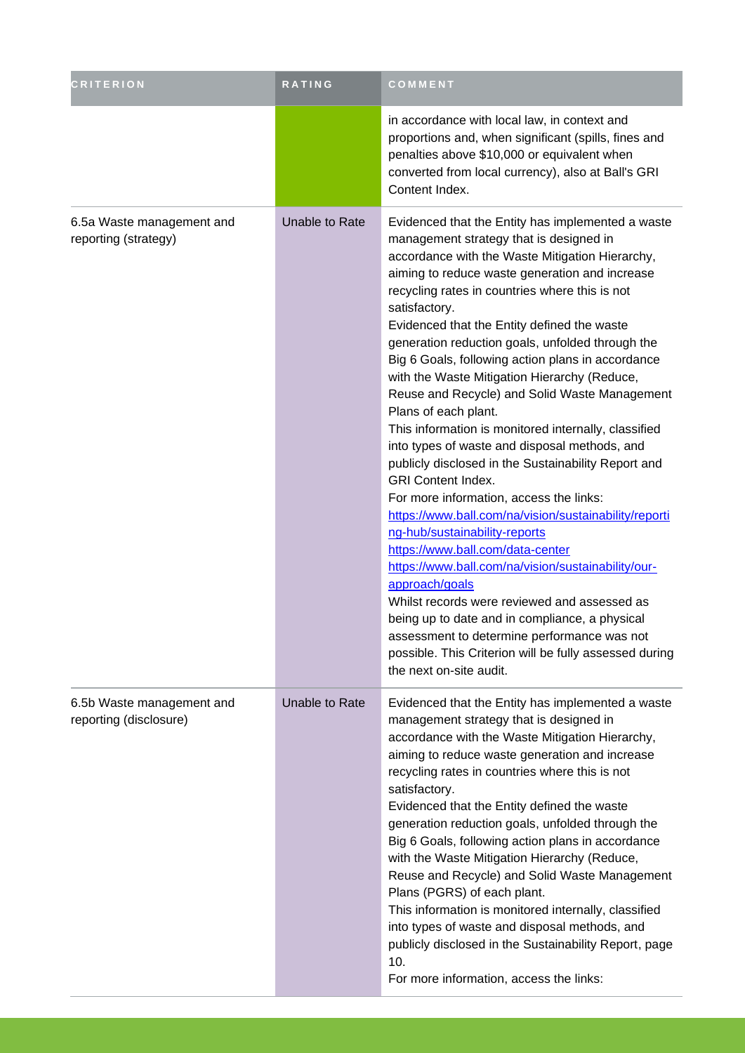| <b>CRITERION</b>                                    | RATING         | COMMENT                                                                                                                                                                                                                                                                                                                                                                                                                                                                                                                                                                                                                                                                                                                                                                                                                                                                                                                                                                                                                                                                                                                                                                                                                                   |
|-----------------------------------------------------|----------------|-------------------------------------------------------------------------------------------------------------------------------------------------------------------------------------------------------------------------------------------------------------------------------------------------------------------------------------------------------------------------------------------------------------------------------------------------------------------------------------------------------------------------------------------------------------------------------------------------------------------------------------------------------------------------------------------------------------------------------------------------------------------------------------------------------------------------------------------------------------------------------------------------------------------------------------------------------------------------------------------------------------------------------------------------------------------------------------------------------------------------------------------------------------------------------------------------------------------------------------------|
|                                                     |                | in accordance with local law, in context and<br>proportions and, when significant (spills, fines and<br>penalties above \$10,000 or equivalent when<br>converted from local currency), also at Ball's GRI<br>Content Index.                                                                                                                                                                                                                                                                                                                                                                                                                                                                                                                                                                                                                                                                                                                                                                                                                                                                                                                                                                                                               |
| 6.5a Waste management and<br>reporting (strategy)   | Unable to Rate | Evidenced that the Entity has implemented a waste<br>management strategy that is designed in<br>accordance with the Waste Mitigation Hierarchy,<br>aiming to reduce waste generation and increase<br>recycling rates in countries where this is not<br>satisfactory.<br>Evidenced that the Entity defined the waste<br>generation reduction goals, unfolded through the<br>Big 6 Goals, following action plans in accordance<br>with the Waste Mitigation Hierarchy (Reduce,<br>Reuse and Recycle) and Solid Waste Management<br>Plans of each plant.<br>This information is monitored internally, classified<br>into types of waste and disposal methods, and<br>publicly disclosed in the Sustainability Report and<br><b>GRI Content Index.</b><br>For more information, access the links:<br>https://www.ball.com/na/vision/sustainability/reporti<br>ng-hub/sustainability-reports<br>https://www.ball.com/data-center<br>https://www.ball.com/na/vision/sustainability/our-<br>approach/goals<br>Whilst records were reviewed and assessed as<br>being up to date and in compliance, a physical<br>assessment to determine performance was not<br>possible. This Criterion will be fully assessed during<br>the next on-site audit. |
| 6.5b Waste management and<br>reporting (disclosure) | Unable to Rate | Evidenced that the Entity has implemented a waste<br>management strategy that is designed in<br>accordance with the Waste Mitigation Hierarchy,<br>aiming to reduce waste generation and increase<br>recycling rates in countries where this is not<br>satisfactory.<br>Evidenced that the Entity defined the waste<br>generation reduction goals, unfolded through the<br>Big 6 Goals, following action plans in accordance<br>with the Waste Mitigation Hierarchy (Reduce,<br>Reuse and Recycle) and Solid Waste Management<br>Plans (PGRS) of each plant.<br>This information is monitored internally, classified<br>into types of waste and disposal methods, and<br>publicly disclosed in the Sustainability Report, page<br>10.<br>For more information, access the links:                                                                                                                                                                                                                                                                                                                                                                                                                                                          |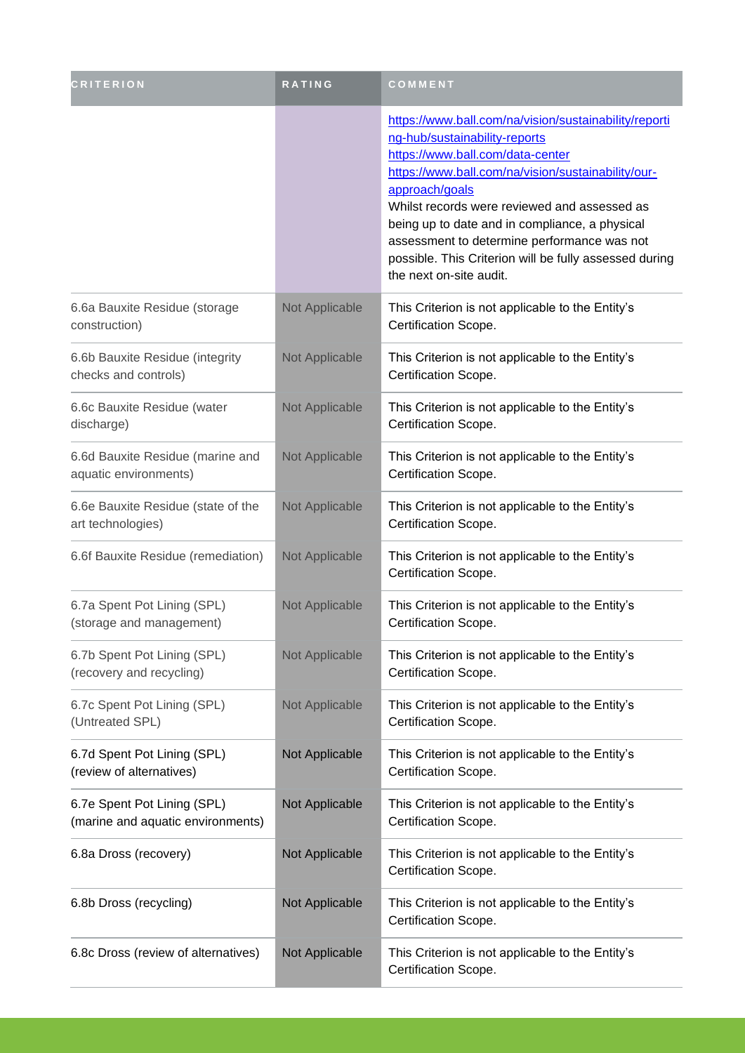| <b>CRITERION</b>                                                 | RATING         | COMMENT                                                                                                                                                                                                                                                                                                                                                                                                                                  |
|------------------------------------------------------------------|----------------|------------------------------------------------------------------------------------------------------------------------------------------------------------------------------------------------------------------------------------------------------------------------------------------------------------------------------------------------------------------------------------------------------------------------------------------|
|                                                                  |                | https://www.ball.com/na/vision/sustainability/reporti<br>ng-hub/sustainability-reports<br>https://www.ball.com/data-center<br>https://www.ball.com/na/vision/sustainability/our-<br>approach/goals<br>Whilst records were reviewed and assessed as<br>being up to date and in compliance, a physical<br>assessment to determine performance was not<br>possible. This Criterion will be fully assessed during<br>the next on-site audit. |
| 6.6a Bauxite Residue (storage<br>construction)                   | Not Applicable | This Criterion is not applicable to the Entity's<br>Certification Scope.                                                                                                                                                                                                                                                                                                                                                                 |
| 6.6b Bauxite Residue (integrity<br>checks and controls)          | Not Applicable | This Criterion is not applicable to the Entity's<br>Certification Scope.                                                                                                                                                                                                                                                                                                                                                                 |
| 6.6c Bauxite Residue (water<br>discharge)                        | Not Applicable | This Criterion is not applicable to the Entity's<br>Certification Scope.                                                                                                                                                                                                                                                                                                                                                                 |
| 6.6d Bauxite Residue (marine and<br>aquatic environments)        | Not Applicable | This Criterion is not applicable to the Entity's<br>Certification Scope.                                                                                                                                                                                                                                                                                                                                                                 |
| 6.6e Bauxite Residue (state of the<br>art technologies)          | Not Applicable | This Criterion is not applicable to the Entity's<br>Certification Scope.                                                                                                                                                                                                                                                                                                                                                                 |
| 6.6f Bauxite Residue (remediation)                               | Not Applicable | This Criterion is not applicable to the Entity's<br>Certification Scope.                                                                                                                                                                                                                                                                                                                                                                 |
| 6.7a Spent Pot Lining (SPL)<br>(storage and management)          | Not Applicable | This Criterion is not applicable to the Entity's<br>Certification Scope.                                                                                                                                                                                                                                                                                                                                                                 |
| 6.7b Spent Pot Lining (SPL)<br>(recovery and recycling)          | Not Applicable | This Criterion is not applicable to the Entity's<br>Certification Scope.                                                                                                                                                                                                                                                                                                                                                                 |
| 6.7c Spent Pot Lining (SPL)<br>(Untreated SPL)                   | Not Applicable | This Criterion is not applicable to the Entity's<br>Certification Scope.                                                                                                                                                                                                                                                                                                                                                                 |
| 6.7d Spent Pot Lining (SPL)<br>(review of alternatives)          | Not Applicable | This Criterion is not applicable to the Entity's<br>Certification Scope.                                                                                                                                                                                                                                                                                                                                                                 |
| 6.7e Spent Pot Lining (SPL)<br>(marine and aquatic environments) | Not Applicable | This Criterion is not applicable to the Entity's<br>Certification Scope.                                                                                                                                                                                                                                                                                                                                                                 |
| 6.8a Dross (recovery)                                            | Not Applicable | This Criterion is not applicable to the Entity's<br>Certification Scope.                                                                                                                                                                                                                                                                                                                                                                 |
| 6.8b Dross (recycling)                                           | Not Applicable | This Criterion is not applicable to the Entity's<br>Certification Scope.                                                                                                                                                                                                                                                                                                                                                                 |
| 6.8c Dross (review of alternatives)                              | Not Applicable | This Criterion is not applicable to the Entity's<br>Certification Scope.                                                                                                                                                                                                                                                                                                                                                                 |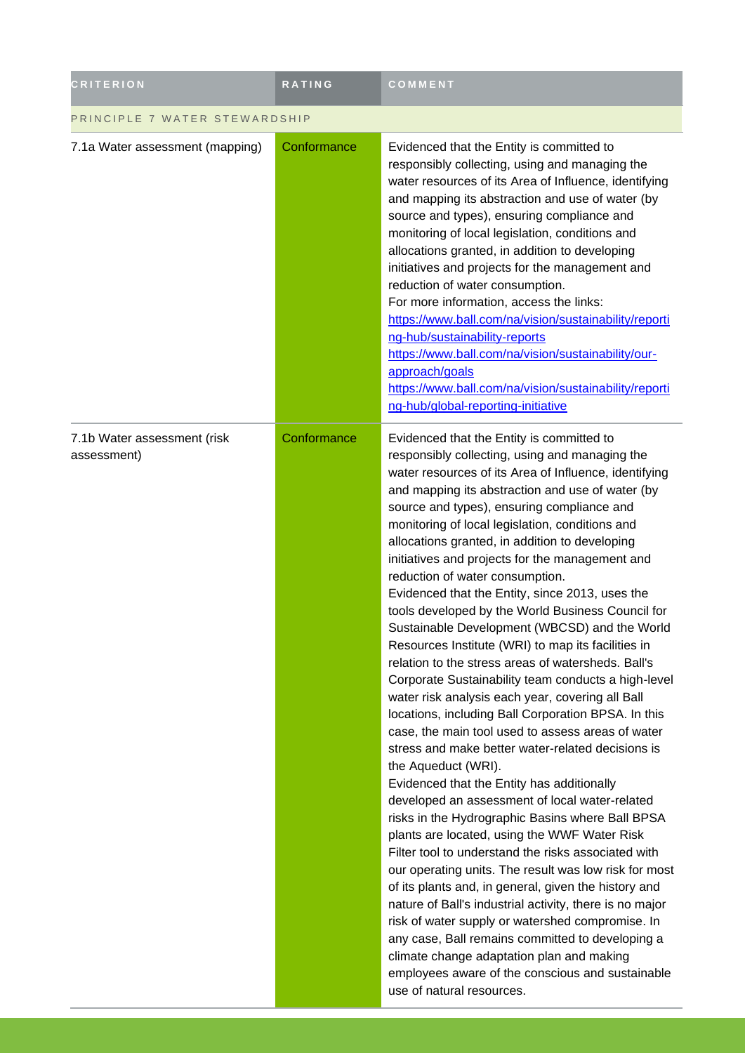| <b>CRITERION</b>                           | <b>RATING</b> | COMMENT                                                                                                                                                                                                                                                                                                                                                                                                                                                                                                                                                                                                                                                                                                                                                                                                                                                                                                                                                                                                                                                                                                                                                                                                                                                                                                                                                                                                                                                                                                                                                                                                                                                                                                |  |
|--------------------------------------------|---------------|--------------------------------------------------------------------------------------------------------------------------------------------------------------------------------------------------------------------------------------------------------------------------------------------------------------------------------------------------------------------------------------------------------------------------------------------------------------------------------------------------------------------------------------------------------------------------------------------------------------------------------------------------------------------------------------------------------------------------------------------------------------------------------------------------------------------------------------------------------------------------------------------------------------------------------------------------------------------------------------------------------------------------------------------------------------------------------------------------------------------------------------------------------------------------------------------------------------------------------------------------------------------------------------------------------------------------------------------------------------------------------------------------------------------------------------------------------------------------------------------------------------------------------------------------------------------------------------------------------------------------------------------------------------------------------------------------------|--|
| PRINCIPLE 7 WATER STEWARDSHIP              |               |                                                                                                                                                                                                                                                                                                                                                                                                                                                                                                                                                                                                                                                                                                                                                                                                                                                                                                                                                                                                                                                                                                                                                                                                                                                                                                                                                                                                                                                                                                                                                                                                                                                                                                        |  |
| 7.1a Water assessment (mapping)            | Conformance   | Evidenced that the Entity is committed to<br>responsibly collecting, using and managing the<br>water resources of its Area of Influence, identifying<br>and mapping its abstraction and use of water (by<br>source and types), ensuring compliance and<br>monitoring of local legislation, conditions and<br>allocations granted, in addition to developing<br>initiatives and projects for the management and<br>reduction of water consumption.<br>For more information, access the links:<br>https://www.ball.com/na/vision/sustainability/reporti<br>ng-hub/sustainability-reports<br>https://www.ball.com/na/vision/sustainability/our-<br>approach/goals<br>https://www.ball.com/na/vision/sustainability/reporti<br>ng-hub/global-reporting-initiative                                                                                                                                                                                                                                                                                                                                                                                                                                                                                                                                                                                                                                                                                                                                                                                                                                                                                                                                          |  |
| 7.1b Water assessment (risk<br>assessment) | Conformance   | Evidenced that the Entity is committed to<br>responsibly collecting, using and managing the<br>water resources of its Area of Influence, identifying<br>and mapping its abstraction and use of water (by<br>source and types), ensuring compliance and<br>monitoring of local legislation, conditions and<br>allocations granted, in addition to developing<br>initiatives and projects for the management and<br>reduction of water consumption.<br>Evidenced that the Entity, since 2013, uses the<br>tools developed by the World Business Council for<br>Sustainable Development (WBCSD) and the World<br>Resources Institute (WRI) to map its facilities in<br>relation to the stress areas of watersheds. Ball's<br>Corporate Sustainability team conducts a high-level<br>water risk analysis each year, covering all Ball<br>locations, including Ball Corporation BPSA. In this<br>case, the main tool used to assess areas of water<br>stress and make better water-related decisions is<br>the Aqueduct (WRI).<br>Evidenced that the Entity has additionally<br>developed an assessment of local water-related<br>risks in the Hydrographic Basins where Ball BPSA<br>plants are located, using the WWF Water Risk<br>Filter tool to understand the risks associated with<br>our operating units. The result was low risk for most<br>of its plants and, in general, given the history and<br>nature of Ball's industrial activity, there is no major<br>risk of water supply or watershed compromise. In<br>any case, Ball remains committed to developing a<br>climate change adaptation plan and making<br>employees aware of the conscious and sustainable<br>use of natural resources. |  |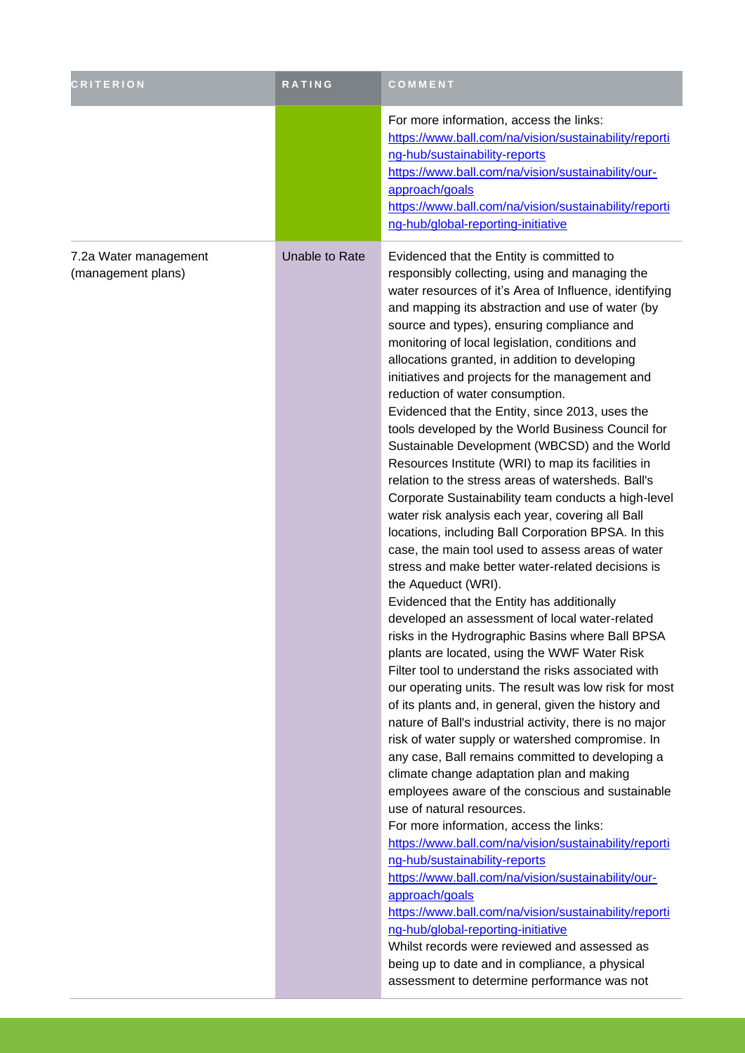| <b>CRITERION</b>                            | <b>RATING</b>  | COMMENT                                                                                                                                                                                                                                                                                                                                                                                                                                                                                                                                                                                                                                                                                                                                                                                                                                                                                                                                                                                                                                                                                                                                                                                                                                                                                                                                                                                                                                                                                                                                                                                                                                                                                                                                                                                                                                                                                                                                                                                                                                                                                                                                                              |
|---------------------------------------------|----------------|----------------------------------------------------------------------------------------------------------------------------------------------------------------------------------------------------------------------------------------------------------------------------------------------------------------------------------------------------------------------------------------------------------------------------------------------------------------------------------------------------------------------------------------------------------------------------------------------------------------------------------------------------------------------------------------------------------------------------------------------------------------------------------------------------------------------------------------------------------------------------------------------------------------------------------------------------------------------------------------------------------------------------------------------------------------------------------------------------------------------------------------------------------------------------------------------------------------------------------------------------------------------------------------------------------------------------------------------------------------------------------------------------------------------------------------------------------------------------------------------------------------------------------------------------------------------------------------------------------------------------------------------------------------------------------------------------------------------------------------------------------------------------------------------------------------------------------------------------------------------------------------------------------------------------------------------------------------------------------------------------------------------------------------------------------------------------------------------------------------------------------------------------------------------|
|                                             |                | For more information, access the links:<br>https://www.ball.com/na/vision/sustainability/reporti<br>ng-hub/sustainability-reports<br>https://www.ball.com/na/vision/sustainability/our-<br>approach/goals<br>https://www.ball.com/na/vision/sustainability/reporti<br>ng-hub/global-reporting-initiative                                                                                                                                                                                                                                                                                                                                                                                                                                                                                                                                                                                                                                                                                                                                                                                                                                                                                                                                                                                                                                                                                                                                                                                                                                                                                                                                                                                                                                                                                                                                                                                                                                                                                                                                                                                                                                                             |
| 7.2a Water management<br>(management plans) | Unable to Rate | Evidenced that the Entity is committed to<br>responsibly collecting, using and managing the<br>water resources of it's Area of Influence, identifying<br>and mapping its abstraction and use of water (by<br>source and types), ensuring compliance and<br>monitoring of local legislation, conditions and<br>allocations granted, in addition to developing<br>initiatives and projects for the management and<br>reduction of water consumption.<br>Evidenced that the Entity, since 2013, uses the<br>tools developed by the World Business Council for<br>Sustainable Development (WBCSD) and the World<br>Resources Institute (WRI) to map its facilities in<br>relation to the stress areas of watersheds. Ball's<br>Corporate Sustainability team conducts a high-level<br>water risk analysis each year, covering all Ball<br>locations, including Ball Corporation BPSA. In this<br>case, the main tool used to assess areas of water<br>stress and make better water-related decisions is<br>the Aqueduct (WRI).<br>Evidenced that the Entity has additionally<br>developed an assessment of local water-related<br>risks in the Hydrographic Basins where Ball BPSA<br>plants are located, using the WWF Water Risk<br>Filter tool to understand the risks associated with<br>our operating units. The result was low risk for most<br>of its plants and, in general, given the history and<br>nature of Ball's industrial activity, there is no major<br>risk of water supply or watershed compromise. In<br>any case, Ball remains committed to developing a<br>climate change adaptation plan and making<br>employees aware of the conscious and sustainable<br>use of natural resources.<br>For more information, access the links:<br>https://www.ball.com/na/vision/sustainability/reporti<br>ng-hub/sustainability-reports<br>https://www.ball.com/na/vision/sustainability/our-<br>approach/goals<br>https://www.ball.com/na/vision/sustainability/reporti<br>ng-hub/global-reporting-initiative<br>Whilst records were reviewed and assessed as<br>being up to date and in compliance, a physical<br>assessment to determine performance was not |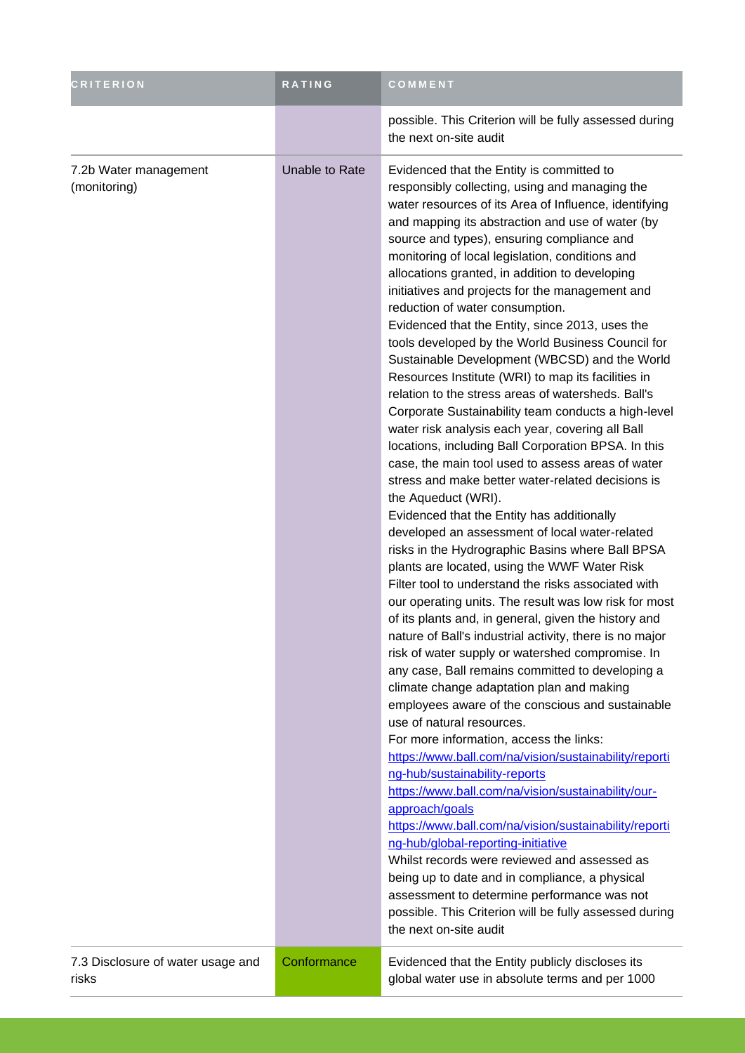| <b>CRITERION</b>                           | <b>RATING</b>  | COMMENT                                                                                                                                                                                                                                                                                                                                                                                                                                                                                                                                                                                                                                                                                                                                                                                                                                                                                                                                                                                                                                                                                                                                                                                                                                                                                                                                                                                                                                                                                                                                                                                                                                                                                                                                                                                                                                                                                                                                                                                                                                                                                                                                                                                                                                                 |
|--------------------------------------------|----------------|---------------------------------------------------------------------------------------------------------------------------------------------------------------------------------------------------------------------------------------------------------------------------------------------------------------------------------------------------------------------------------------------------------------------------------------------------------------------------------------------------------------------------------------------------------------------------------------------------------------------------------------------------------------------------------------------------------------------------------------------------------------------------------------------------------------------------------------------------------------------------------------------------------------------------------------------------------------------------------------------------------------------------------------------------------------------------------------------------------------------------------------------------------------------------------------------------------------------------------------------------------------------------------------------------------------------------------------------------------------------------------------------------------------------------------------------------------------------------------------------------------------------------------------------------------------------------------------------------------------------------------------------------------------------------------------------------------------------------------------------------------------------------------------------------------------------------------------------------------------------------------------------------------------------------------------------------------------------------------------------------------------------------------------------------------------------------------------------------------------------------------------------------------------------------------------------------------------------------------------------------------|
|                                            |                | possible. This Criterion will be fully assessed during<br>the next on-site audit                                                                                                                                                                                                                                                                                                                                                                                                                                                                                                                                                                                                                                                                                                                                                                                                                                                                                                                                                                                                                                                                                                                                                                                                                                                                                                                                                                                                                                                                                                                                                                                                                                                                                                                                                                                                                                                                                                                                                                                                                                                                                                                                                                        |
| 7.2b Water management<br>(monitoring)      | Unable to Rate | Evidenced that the Entity is committed to<br>responsibly collecting, using and managing the<br>water resources of its Area of Influence, identifying<br>and mapping its abstraction and use of water (by<br>source and types), ensuring compliance and<br>monitoring of local legislation, conditions and<br>allocations granted, in addition to developing<br>initiatives and projects for the management and<br>reduction of water consumption.<br>Evidenced that the Entity, since 2013, uses the<br>tools developed by the World Business Council for<br>Sustainable Development (WBCSD) and the World<br>Resources Institute (WRI) to map its facilities in<br>relation to the stress areas of watersheds. Ball's<br>Corporate Sustainability team conducts a high-level<br>water risk analysis each year, covering all Ball<br>locations, including Ball Corporation BPSA. In this<br>case, the main tool used to assess areas of water<br>stress and make better water-related decisions is<br>the Aqueduct (WRI).<br>Evidenced that the Entity has additionally<br>developed an assessment of local water-related<br>risks in the Hydrographic Basins where Ball BPSA<br>plants are located, using the WWF Water Risk<br>Filter tool to understand the risks associated with<br>our operating units. The result was low risk for most<br>of its plants and, in general, given the history and<br>nature of Ball's industrial activity, there is no major<br>risk of water supply or watershed compromise. In<br>any case, Ball remains committed to developing a<br>climate change adaptation plan and making<br>employees aware of the conscious and sustainable<br>use of natural resources.<br>For more information, access the links:<br>https://www.ball.com/na/vision/sustainability/reporti<br>ng-hub/sustainability-reports<br>https://www.ball.com/na/vision/sustainability/our-<br>approach/goals<br>https://www.ball.com/na/vision/sustainability/reporti<br>ng-hub/global-reporting-initiative<br>Whilst records were reviewed and assessed as<br>being up to date and in compliance, a physical<br>assessment to determine performance was not<br>possible. This Criterion will be fully assessed during<br>the next on-site audit |
| 7.3 Disclosure of water usage and<br>risks | Conformance    | Evidenced that the Entity publicly discloses its<br>global water use in absolute terms and per 1000                                                                                                                                                                                                                                                                                                                                                                                                                                                                                                                                                                                                                                                                                                                                                                                                                                                                                                                                                                                                                                                                                                                                                                                                                                                                                                                                                                                                                                                                                                                                                                                                                                                                                                                                                                                                                                                                                                                                                                                                                                                                                                                                                     |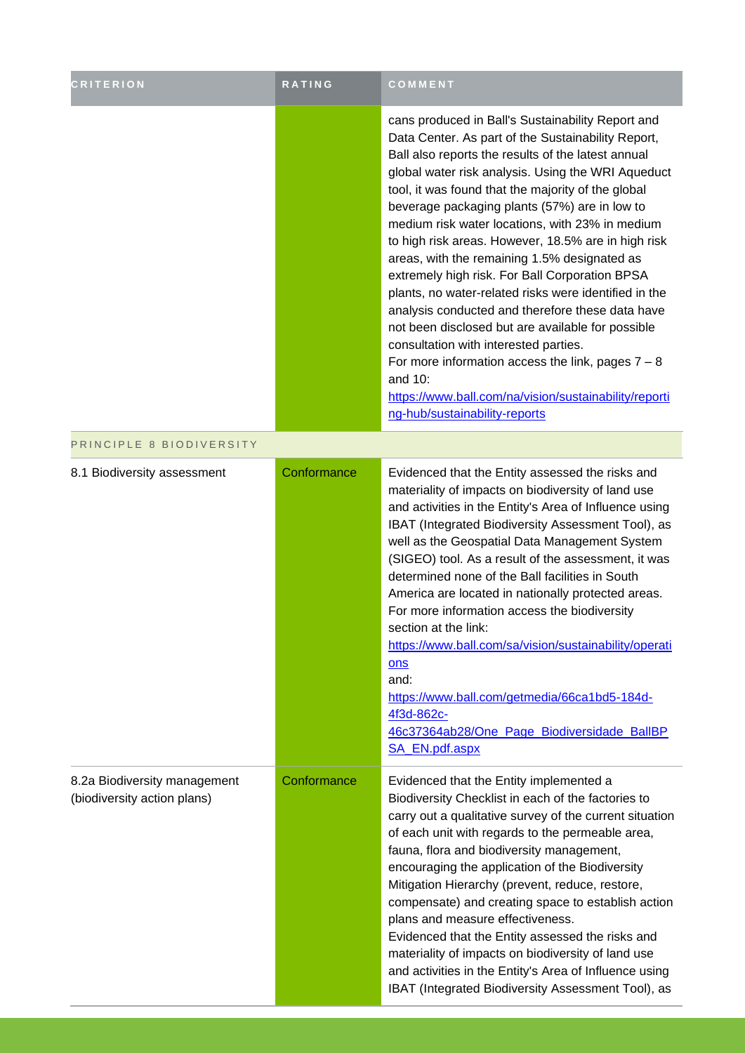| <b>CRITERION</b>                                            | <b>RATING</b> | COMMENT                                                                                                                                                                                                                                                                                                                                                                                                                                                                                                                                                                                                                                                                                                                                                                                                                                                                                                       |
|-------------------------------------------------------------|---------------|---------------------------------------------------------------------------------------------------------------------------------------------------------------------------------------------------------------------------------------------------------------------------------------------------------------------------------------------------------------------------------------------------------------------------------------------------------------------------------------------------------------------------------------------------------------------------------------------------------------------------------------------------------------------------------------------------------------------------------------------------------------------------------------------------------------------------------------------------------------------------------------------------------------|
|                                                             |               | cans produced in Ball's Sustainability Report and<br>Data Center. As part of the Sustainability Report,<br>Ball also reports the results of the latest annual<br>global water risk analysis. Using the WRI Aqueduct<br>tool, it was found that the majority of the global<br>beverage packaging plants (57%) are in low to<br>medium risk water locations, with 23% in medium<br>to high risk areas. However, 18.5% are in high risk<br>areas, with the remaining 1.5% designated as<br>extremely high risk. For Ball Corporation BPSA<br>plants, no water-related risks were identified in the<br>analysis conducted and therefore these data have<br>not been disclosed but are available for possible<br>consultation with interested parties.<br>For more information access the link, pages $7 - 8$<br>and 10:<br>https://www.ball.com/na/vision/sustainability/reporti<br>ng-hub/sustainability-reports |
| PRINCIPLE 8 BIODIVERSITY                                    |               |                                                                                                                                                                                                                                                                                                                                                                                                                                                                                                                                                                                                                                                                                                                                                                                                                                                                                                               |
| 8.1 Biodiversity assessment                                 | Conformance   | Evidenced that the Entity assessed the risks and<br>materiality of impacts on biodiversity of land use<br>and activities in the Entity's Area of Influence using<br>IBAT (Integrated Biodiversity Assessment Tool), as<br>well as the Geospatial Data Management System<br>(SIGEO) tool. As a result of the assessment, it was<br>determined none of the Ball facilities in South<br>America are located in nationally protected areas.<br>For more information access the biodiversity<br>section at the link:<br>https://www.ball.com/sa/vision/sustainability/operati<br>ons<br>and:<br>https://www.ball.com/getmedia/66ca1bd5-184d-<br>4f3d-862c-<br>46c37364ab28/One_Page_Biodiversidade_BallBP<br>SA EN.pdf.aspx                                                                                                                                                                                        |
| 8.2a Biodiversity management<br>(biodiversity action plans) | Conformance   | Evidenced that the Entity implemented a<br>Biodiversity Checklist in each of the factories to<br>carry out a qualitative survey of the current situation<br>of each unit with regards to the permeable area,<br>fauna, flora and biodiversity management,<br>encouraging the application of the Biodiversity<br>Mitigation Hierarchy (prevent, reduce, restore,<br>compensate) and creating space to establish action<br>plans and measure effectiveness.<br>Evidenced that the Entity assessed the risks and<br>materiality of impacts on biodiversity of land use<br>and activities in the Entity's Area of Influence using<br>IBAT (Integrated Biodiversity Assessment Tool), as                                                                                                                                                                                                                           |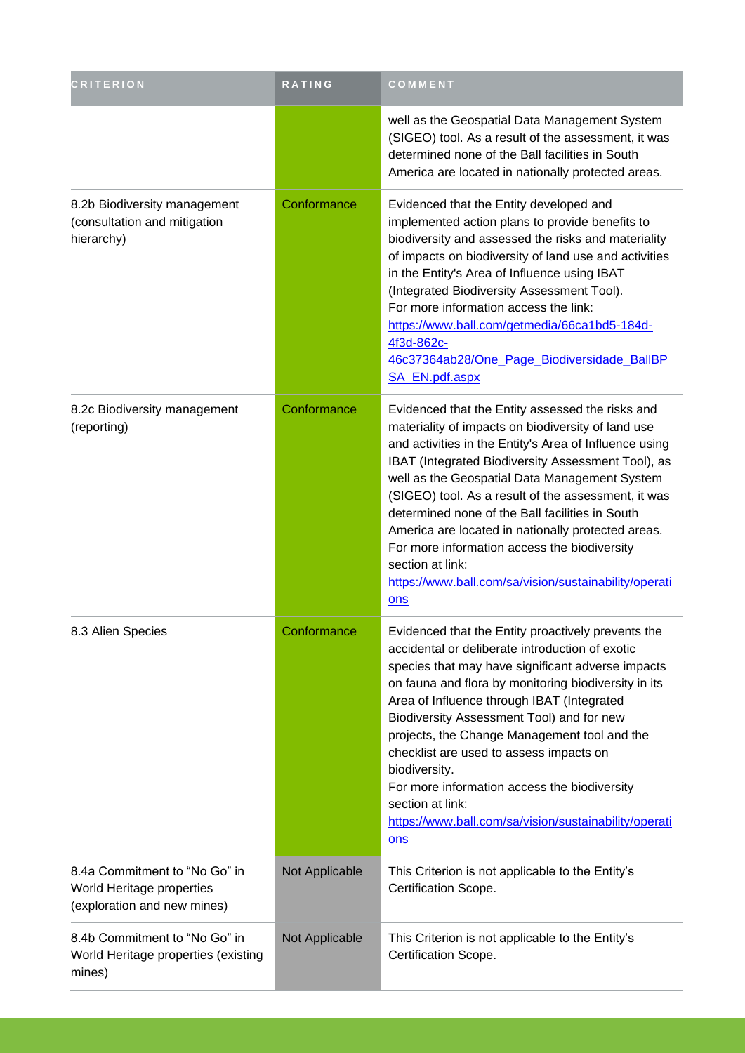| <b>CRITERION</b>                                                                          | <b>RATING</b>  | COMMENT                                                                                                                                                                                                                                                                                                                                                                                                                                                                                                                                                                     |
|-------------------------------------------------------------------------------------------|----------------|-----------------------------------------------------------------------------------------------------------------------------------------------------------------------------------------------------------------------------------------------------------------------------------------------------------------------------------------------------------------------------------------------------------------------------------------------------------------------------------------------------------------------------------------------------------------------------|
|                                                                                           |                | well as the Geospatial Data Management System<br>(SIGEO) tool. As a result of the assessment, it was<br>determined none of the Ball facilities in South<br>America are located in nationally protected areas.                                                                                                                                                                                                                                                                                                                                                               |
| 8.2b Biodiversity management<br>(consultation and mitigation<br>hierarchy)                | Conformance    | Evidenced that the Entity developed and<br>implemented action plans to provide benefits to<br>biodiversity and assessed the risks and materiality<br>of impacts on biodiversity of land use and activities<br>in the Entity's Area of Influence using IBAT<br>(Integrated Biodiversity Assessment Tool).<br>For more information access the link:<br>https://www.ball.com/getmedia/66ca1bd5-184d-<br>4f3d-862c-<br>46c37364ab28/One_Page_Biodiversidade_BallBP<br>SA EN.pdf.aspx                                                                                            |
| 8.2c Biodiversity management<br>(reporting)                                               | Conformance    | Evidenced that the Entity assessed the risks and<br>materiality of impacts on biodiversity of land use<br>and activities in the Entity's Area of Influence using<br>IBAT (Integrated Biodiversity Assessment Tool), as<br>well as the Geospatial Data Management System<br>(SIGEO) tool. As a result of the assessment, it was<br>determined none of the Ball facilities in South<br>America are located in nationally protected areas.<br>For more information access the biodiversity<br>section at link:<br>https://www.ball.com/sa/vision/sustainability/operati<br>ons |
| 8.3 Alien Species                                                                         | Conformance    | Evidenced that the Entity proactively prevents the<br>accidental or deliberate introduction of exotic<br>species that may have significant adverse impacts<br>on fauna and flora by monitoring biodiversity in its<br>Area of Influence through IBAT (Integrated<br>Biodiversity Assessment Tool) and for new<br>projects, the Change Management tool and the<br>checklist are used to assess impacts on<br>biodiversity.<br>For more information access the biodiversity<br>section at link:<br>https://www.ball.com/sa/vision/sustainability/operati<br>ons               |
| 8.4a Commitment to "No Go" in<br>World Heritage properties<br>(exploration and new mines) | Not Applicable | This Criterion is not applicable to the Entity's<br>Certification Scope.                                                                                                                                                                                                                                                                                                                                                                                                                                                                                                    |
| 8.4b Commitment to "No Go" in<br>World Heritage properties (existing<br>mines)            | Not Applicable | This Criterion is not applicable to the Entity's<br>Certification Scope.                                                                                                                                                                                                                                                                                                                                                                                                                                                                                                    |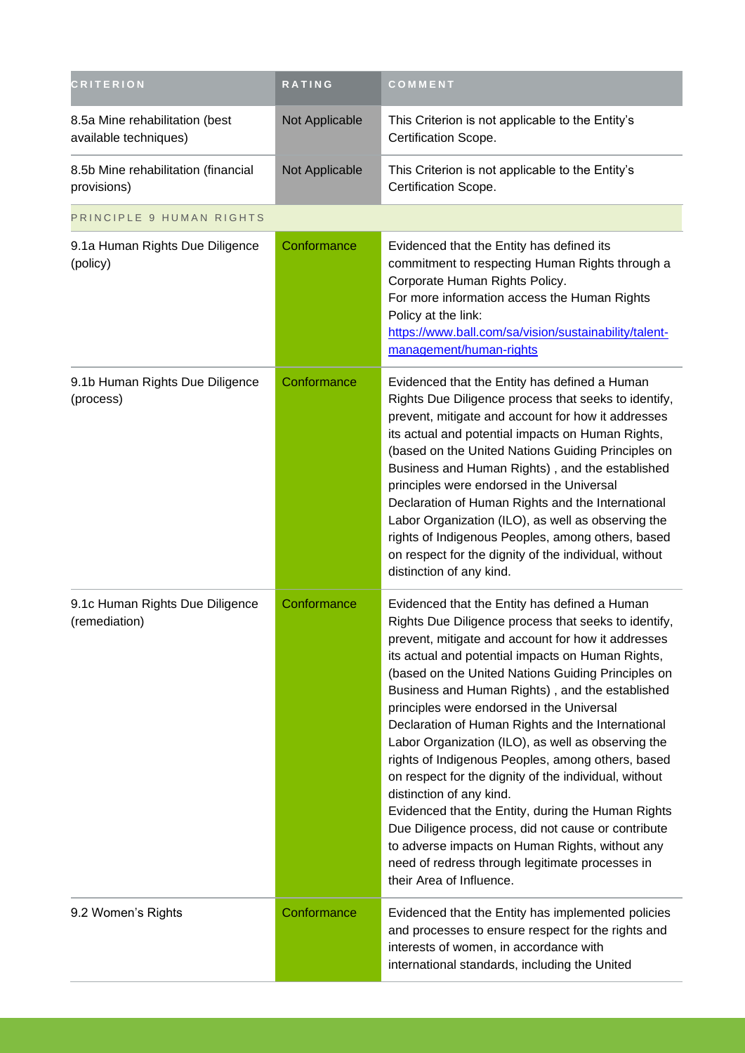| <b>CRITERION</b>                                        | RATING         | COMMENT                                                                                                                                                                                                                                                                                                                                                                                                                                                                                                                                                                                                                                                                                                                                                                                                                                                                   |
|---------------------------------------------------------|----------------|---------------------------------------------------------------------------------------------------------------------------------------------------------------------------------------------------------------------------------------------------------------------------------------------------------------------------------------------------------------------------------------------------------------------------------------------------------------------------------------------------------------------------------------------------------------------------------------------------------------------------------------------------------------------------------------------------------------------------------------------------------------------------------------------------------------------------------------------------------------------------|
| 8.5a Mine rehabilitation (best<br>available techniques) | Not Applicable | This Criterion is not applicable to the Entity's<br>Certification Scope.                                                                                                                                                                                                                                                                                                                                                                                                                                                                                                                                                                                                                                                                                                                                                                                                  |
| 8.5b Mine rehabilitation (financial<br>provisions)      | Not Applicable | This Criterion is not applicable to the Entity's<br>Certification Scope.                                                                                                                                                                                                                                                                                                                                                                                                                                                                                                                                                                                                                                                                                                                                                                                                  |
| PRINCIPLE 9 HUMAN RIGHTS                                |                |                                                                                                                                                                                                                                                                                                                                                                                                                                                                                                                                                                                                                                                                                                                                                                                                                                                                           |
| 9.1a Human Rights Due Diligence<br>(policy)             | Conformance    | Evidenced that the Entity has defined its<br>commitment to respecting Human Rights through a<br>Corporate Human Rights Policy.<br>For more information access the Human Rights<br>Policy at the link:<br>https://www.ball.com/sa/vision/sustainability/talent-<br>management/human-rights                                                                                                                                                                                                                                                                                                                                                                                                                                                                                                                                                                                 |
| 9.1b Human Rights Due Diligence<br>(process)            | Conformance    | Evidenced that the Entity has defined a Human<br>Rights Due Diligence process that seeks to identify,<br>prevent, mitigate and account for how it addresses<br>its actual and potential impacts on Human Rights,<br>(based on the United Nations Guiding Principles on<br>Business and Human Rights), and the established<br>principles were endorsed in the Universal<br>Declaration of Human Rights and the International<br>Labor Organization (ILO), as well as observing the<br>rights of Indigenous Peoples, among others, based<br>on respect for the dignity of the individual, without<br>distinction of any kind.                                                                                                                                                                                                                                               |
| 9.1c Human Rights Due Diligence<br>(remediation)        | Conformance    | Evidenced that the Entity has defined a Human<br>Rights Due Diligence process that seeks to identify,<br>prevent, mitigate and account for how it addresses<br>its actual and potential impacts on Human Rights,<br>(based on the United Nations Guiding Principles on<br>Business and Human Rights), and the established<br>principles were endorsed in the Universal<br>Declaration of Human Rights and the International<br>Labor Organization (ILO), as well as observing the<br>rights of Indigenous Peoples, among others, based<br>on respect for the dignity of the individual, without<br>distinction of any kind.<br>Evidenced that the Entity, during the Human Rights<br>Due Diligence process, did not cause or contribute<br>to adverse impacts on Human Rights, without any<br>need of redress through legitimate processes in<br>their Area of Influence. |
| 9.2 Women's Rights                                      | Conformance    | Evidenced that the Entity has implemented policies<br>and processes to ensure respect for the rights and<br>interests of women, in accordance with<br>international standards, including the United                                                                                                                                                                                                                                                                                                                                                                                                                                                                                                                                                                                                                                                                       |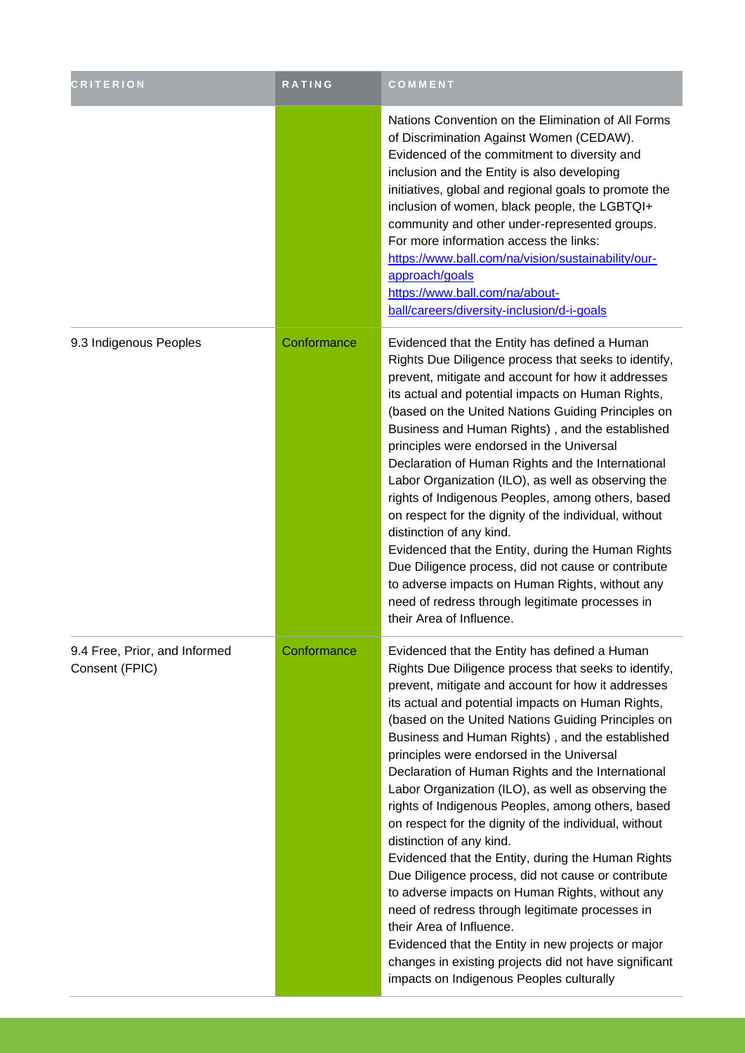| <b>CRITERION</b>                                | <b>RATING</b> | COMMENT                                                                                                                                                                                                                                                                                                                                                                                                                                                                                                                                                                                                                                                                                                                                                                                                                                                                                                                                                                                                                              |
|-------------------------------------------------|---------------|--------------------------------------------------------------------------------------------------------------------------------------------------------------------------------------------------------------------------------------------------------------------------------------------------------------------------------------------------------------------------------------------------------------------------------------------------------------------------------------------------------------------------------------------------------------------------------------------------------------------------------------------------------------------------------------------------------------------------------------------------------------------------------------------------------------------------------------------------------------------------------------------------------------------------------------------------------------------------------------------------------------------------------------|
|                                                 |               | Nations Convention on the Elimination of All Forms<br>of Discrimination Against Women (CEDAW).<br>Evidenced of the commitment to diversity and<br>inclusion and the Entity is also developing<br>initiatives, global and regional goals to promote the<br>inclusion of women, black people, the LGBTQI+<br>community and other under-represented groups.<br>For more information access the links:<br>https://www.ball.com/na/vision/sustainability/our-<br>approach/goals<br>https://www.ball.com/na/about-<br>ball/careers/diversity-inclusion/d-i-goals                                                                                                                                                                                                                                                                                                                                                                                                                                                                           |
| 9.3 Indigenous Peoples                          | Conformance   | Evidenced that the Entity has defined a Human<br>Rights Due Diligence process that seeks to identify,<br>prevent, mitigate and account for how it addresses<br>its actual and potential impacts on Human Rights,<br>(based on the United Nations Guiding Principles on<br>Business and Human Rights), and the established<br>principles were endorsed in the Universal<br>Declaration of Human Rights and the International<br>Labor Organization (ILO), as well as observing the<br>rights of Indigenous Peoples, among others, based<br>on respect for the dignity of the individual, without<br>distinction of any kind.<br>Evidenced that the Entity, during the Human Rights<br>Due Diligence process, did not cause or contribute<br>to adverse impacts on Human Rights, without any<br>need of redress through legitimate processes in<br>their Area of Influence.                                                                                                                                                            |
| 9.4 Free, Prior, and Informed<br>Consent (FPIC) | Conformance   | Evidenced that the Entity has defined a Human<br>Rights Due Diligence process that seeks to identify,<br>prevent, mitigate and account for how it addresses<br>its actual and potential impacts on Human Rights,<br>(based on the United Nations Guiding Principles on<br>Business and Human Rights), and the established<br>principles were endorsed in the Universal<br>Declaration of Human Rights and the International<br>Labor Organization (ILO), as well as observing the<br>rights of Indigenous Peoples, among others, based<br>on respect for the dignity of the individual, without<br>distinction of any kind.<br>Evidenced that the Entity, during the Human Rights<br>Due Diligence process, did not cause or contribute<br>to adverse impacts on Human Rights, without any<br>need of redress through legitimate processes in<br>their Area of Influence.<br>Evidenced that the Entity in new projects or major<br>changes in existing projects did not have significant<br>impacts on Indigenous Peoples culturally |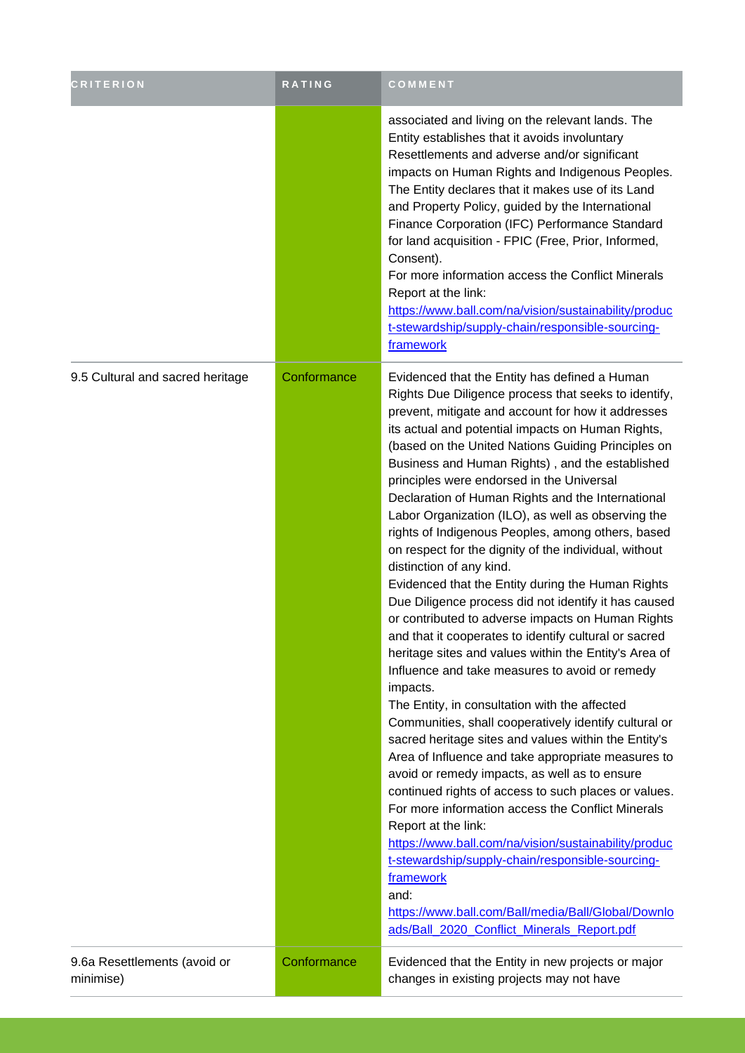| <b>CRITERION</b>                          | RATING      | COMMENT                                                                                                                                                                                                                                                                                                                                                                                                                                                                                                                                                                                                                                                                                                                                                                                                                                                                                                                                                                                                                                                                                                                                                                                                                                                                                                                                                                                                                                                                                                                                                                                                                         |
|-------------------------------------------|-------------|---------------------------------------------------------------------------------------------------------------------------------------------------------------------------------------------------------------------------------------------------------------------------------------------------------------------------------------------------------------------------------------------------------------------------------------------------------------------------------------------------------------------------------------------------------------------------------------------------------------------------------------------------------------------------------------------------------------------------------------------------------------------------------------------------------------------------------------------------------------------------------------------------------------------------------------------------------------------------------------------------------------------------------------------------------------------------------------------------------------------------------------------------------------------------------------------------------------------------------------------------------------------------------------------------------------------------------------------------------------------------------------------------------------------------------------------------------------------------------------------------------------------------------------------------------------------------------------------------------------------------------|
|                                           |             | associated and living on the relevant lands. The<br>Entity establishes that it avoids involuntary<br>Resettlements and adverse and/or significant<br>impacts on Human Rights and Indigenous Peoples.<br>The Entity declares that it makes use of its Land<br>and Property Policy, guided by the International<br>Finance Corporation (IFC) Performance Standard<br>for land acquisition - FPIC (Free, Prior, Informed,<br>Consent).<br>For more information access the Conflict Minerals<br>Report at the link:<br>https://www.ball.com/na/vision/sustainability/produc<br>t-stewardship/supply-chain/responsible-sourcing-<br>framework                                                                                                                                                                                                                                                                                                                                                                                                                                                                                                                                                                                                                                                                                                                                                                                                                                                                                                                                                                                        |
| 9.5 Cultural and sacred heritage          | Conformance | Evidenced that the Entity has defined a Human<br>Rights Due Diligence process that seeks to identify,<br>prevent, mitigate and account for how it addresses<br>its actual and potential impacts on Human Rights,<br>(based on the United Nations Guiding Principles on<br>Business and Human Rights), and the established<br>principles were endorsed in the Universal<br>Declaration of Human Rights and the International<br>Labor Organization (ILO), as well as observing the<br>rights of Indigenous Peoples, among others, based<br>on respect for the dignity of the individual, without<br>distinction of any kind.<br>Evidenced that the Entity during the Human Rights<br>Due Diligence process did not identify it has caused<br>or contributed to adverse impacts on Human Rights<br>and that it cooperates to identify cultural or sacred<br>heritage sites and values within the Entity's Area of<br>Influence and take measures to avoid or remedy<br>impacts.<br>The Entity, in consultation with the affected<br>Communities, shall cooperatively identify cultural or<br>sacred heritage sites and values within the Entity's<br>Area of Influence and take appropriate measures to<br>avoid or remedy impacts, as well as to ensure<br>continued rights of access to such places or values.<br>For more information access the Conflict Minerals<br>Report at the link:<br>https://www.ball.com/na/vision/sustainability/produc<br>t-stewardship/supply-chain/responsible-sourcing-<br>framework<br>and:<br>https://www.ball.com/Ball/media/Ball/Global/Downlo<br>ads/Ball_2020_Conflict_Minerals_Report.pdf |
| 9.6a Resettlements (avoid or<br>minimise) | Conformance | Evidenced that the Entity in new projects or major<br>changes in existing projects may not have                                                                                                                                                                                                                                                                                                                                                                                                                                                                                                                                                                                                                                                                                                                                                                                                                                                                                                                                                                                                                                                                                                                                                                                                                                                                                                                                                                                                                                                                                                                                 |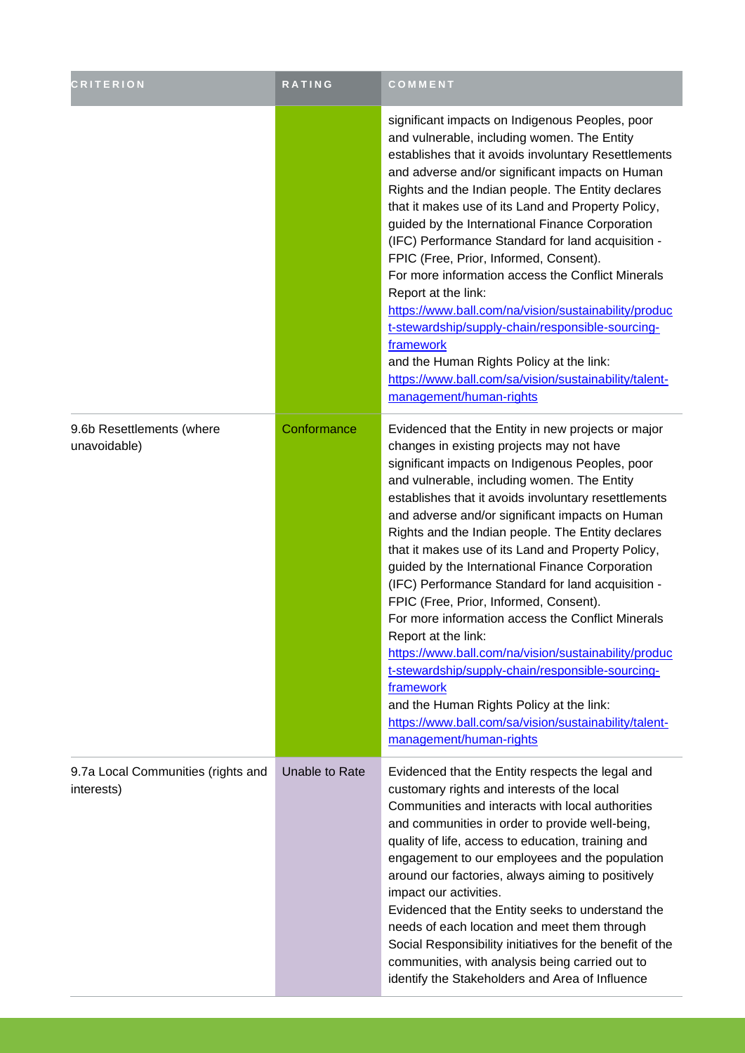| <b>CRITERION</b>                                 | RATING         | COMMENT                                                                                                                                                                                                                                                                                                                                                                                                                                                                                                                                                                                                                                                                                                                                                                                                                                                                                                        |
|--------------------------------------------------|----------------|----------------------------------------------------------------------------------------------------------------------------------------------------------------------------------------------------------------------------------------------------------------------------------------------------------------------------------------------------------------------------------------------------------------------------------------------------------------------------------------------------------------------------------------------------------------------------------------------------------------------------------------------------------------------------------------------------------------------------------------------------------------------------------------------------------------------------------------------------------------------------------------------------------------|
|                                                  |                | significant impacts on Indigenous Peoples, poor<br>and vulnerable, including women. The Entity<br>establishes that it avoids involuntary Resettlements<br>and adverse and/or significant impacts on Human<br>Rights and the Indian people. The Entity declares<br>that it makes use of its Land and Property Policy,<br>guided by the International Finance Corporation<br>(IFC) Performance Standard for land acquisition -<br>FPIC (Free, Prior, Informed, Consent).<br>For more information access the Conflict Minerals<br>Report at the link:<br>https://www.ball.com/na/vision/sustainability/produc<br>t-stewardship/supply-chain/responsible-sourcing-<br>framework<br>and the Human Rights Policy at the link:<br>https://www.ball.com/sa/vision/sustainability/talent-<br>management/human-rights                                                                                                    |
| 9.6b Resettlements (where<br>unavoidable)        | Conformance    | Evidenced that the Entity in new projects or major<br>changes in existing projects may not have<br>significant impacts on Indigenous Peoples, poor<br>and vulnerable, including women. The Entity<br>establishes that it avoids involuntary resettlements<br>and adverse and/or significant impacts on Human<br>Rights and the Indian people. The Entity declares<br>that it makes use of its Land and Property Policy,<br>guided by the International Finance Corporation<br>(IFC) Performance Standard for land acquisition -<br>FPIC (Free, Prior, Informed, Consent).<br>For more information access the Conflict Minerals<br>Report at the link:<br>https://www.ball.com/na/vision/sustainability/produc<br>t-stewardship/supply-chain/responsible-sourcing-<br>framework<br>and the Human Rights Policy at the link:<br>https://www.ball.com/sa/vision/sustainability/talent-<br>management/human-rights |
| 9.7a Local Communities (rights and<br>interests) | Unable to Rate | Evidenced that the Entity respects the legal and<br>customary rights and interests of the local<br>Communities and interacts with local authorities<br>and communities in order to provide well-being,<br>quality of life, access to education, training and<br>engagement to our employees and the population<br>around our factories, always aiming to positively<br>impact our activities.<br>Evidenced that the Entity seeks to understand the<br>needs of each location and meet them through<br>Social Responsibility initiatives for the benefit of the<br>communities, with analysis being carried out to<br>identify the Stakeholders and Area of Influence                                                                                                                                                                                                                                           |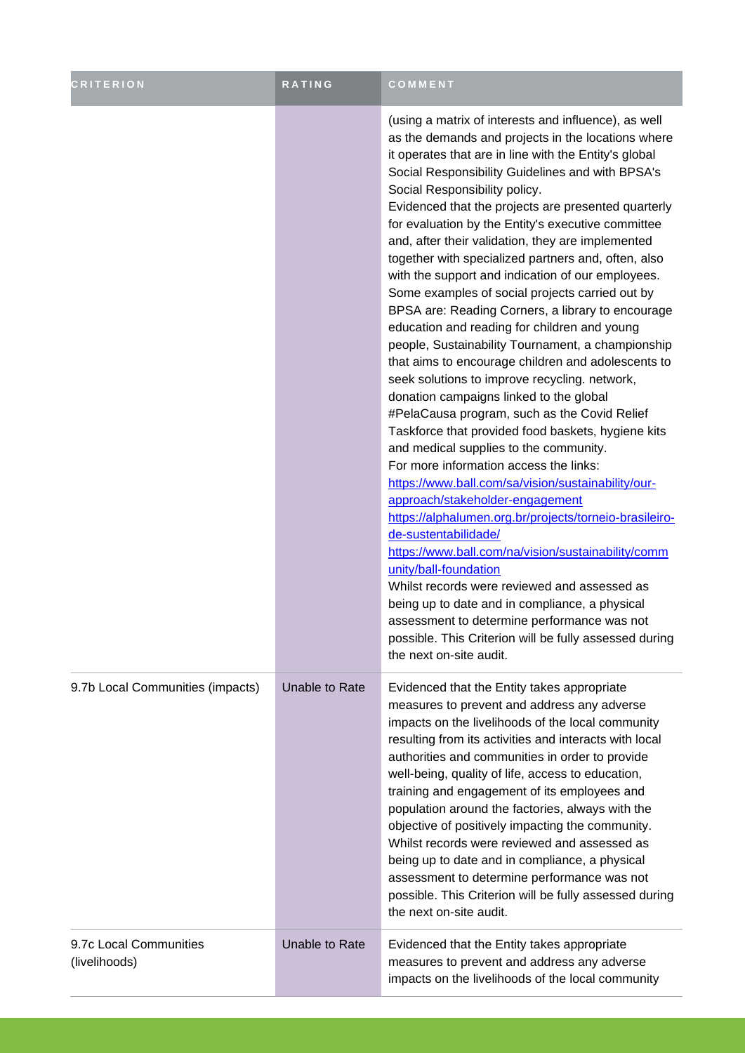| <b>CRITERION</b>                        | <b>RATING</b>  | COMMENT                                                                                                                                                                                                                                                                                                                                                                                                                                                                                                                                                                                                                                                                                                                                                                                                                                                                                                                                                                                                                                                                                                                                                                                                                                                                                                                                                                                                                                                                                                                                                                                         |
|-----------------------------------------|----------------|-------------------------------------------------------------------------------------------------------------------------------------------------------------------------------------------------------------------------------------------------------------------------------------------------------------------------------------------------------------------------------------------------------------------------------------------------------------------------------------------------------------------------------------------------------------------------------------------------------------------------------------------------------------------------------------------------------------------------------------------------------------------------------------------------------------------------------------------------------------------------------------------------------------------------------------------------------------------------------------------------------------------------------------------------------------------------------------------------------------------------------------------------------------------------------------------------------------------------------------------------------------------------------------------------------------------------------------------------------------------------------------------------------------------------------------------------------------------------------------------------------------------------------------------------------------------------------------------------|
|                                         |                | (using a matrix of interests and influence), as well<br>as the demands and projects in the locations where<br>it operates that are in line with the Entity's global<br>Social Responsibility Guidelines and with BPSA's<br>Social Responsibility policy.<br>Evidenced that the projects are presented quarterly<br>for evaluation by the Entity's executive committee<br>and, after their validation, they are implemented<br>together with specialized partners and, often, also<br>with the support and indication of our employees.<br>Some examples of social projects carried out by<br>BPSA are: Reading Corners, a library to encourage<br>education and reading for children and young<br>people, Sustainability Tournament, a championship<br>that aims to encourage children and adolescents to<br>seek solutions to improve recycling. network,<br>donation campaigns linked to the global<br>#PelaCausa program, such as the Covid Relief<br>Taskforce that provided food baskets, hygiene kits<br>and medical supplies to the community.<br>For more information access the links:<br>https://www.ball.com/sa/vision/sustainability/our-<br>approach/stakeholder-engagement<br>https://alphalumen.org.br/projects/torneio-brasileiro-<br>de-sustentabilidade/<br>https://www.ball.com/na/vision/sustainability/comm<br>unity/ball-foundation<br>Whilst records were reviewed and assessed as<br>being up to date and in compliance, a physical<br>assessment to determine performance was not<br>possible. This Criterion will be fully assessed during<br>the next on-site audit. |
| 9.7b Local Communities (impacts)        | Unable to Rate | Evidenced that the Entity takes appropriate<br>measures to prevent and address any adverse<br>impacts on the livelihoods of the local community<br>resulting from its activities and interacts with local<br>authorities and communities in order to provide<br>well-being, quality of life, access to education,<br>training and engagement of its employees and<br>population around the factories, always with the<br>objective of positively impacting the community.<br>Whilst records were reviewed and assessed as<br>being up to date and in compliance, a physical<br>assessment to determine performance was not<br>possible. This Criterion will be fully assessed during<br>the next on-site audit.                                                                                                                                                                                                                                                                                                                                                                                                                                                                                                                                                                                                                                                                                                                                                                                                                                                                                 |
| 9.7c Local Communities<br>(livelihoods) | Unable to Rate | Evidenced that the Entity takes appropriate<br>measures to prevent and address any adverse<br>impacts on the livelihoods of the local community                                                                                                                                                                                                                                                                                                                                                                                                                                                                                                                                                                                                                                                                                                                                                                                                                                                                                                                                                                                                                                                                                                                                                                                                                                                                                                                                                                                                                                                 |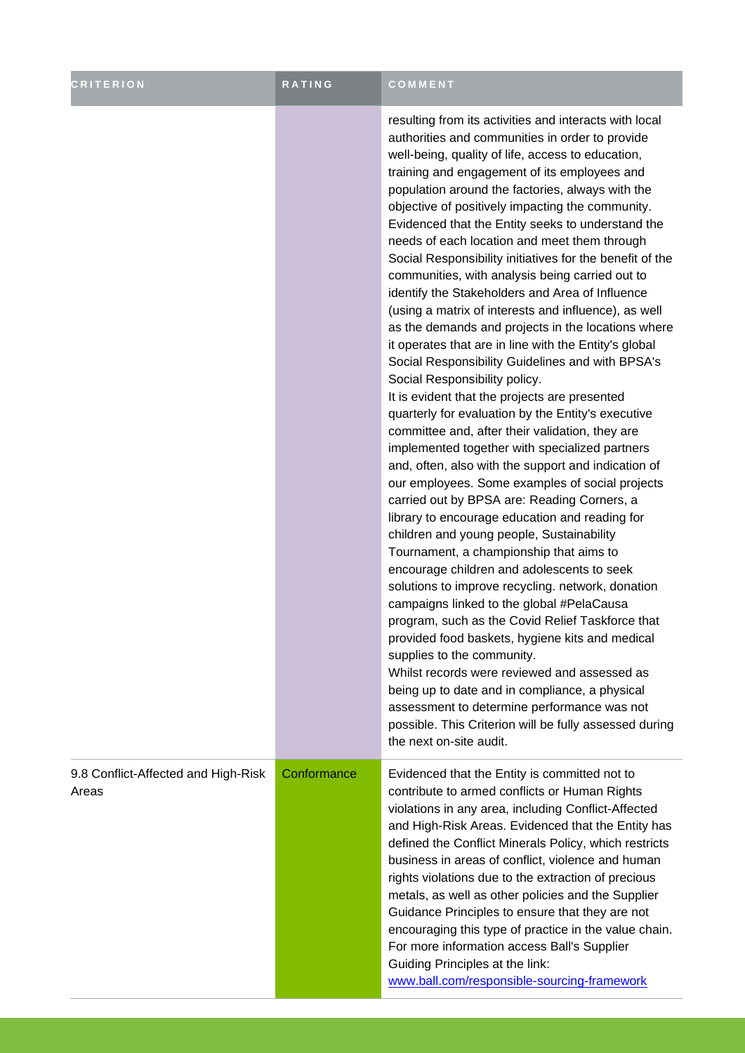| <b>CRITERION</b>                             | RATING      | COMMENT                                                                                                                                                                                                                                                                                                                                                                                                                                                                                                                                                                                                                                                                                                                                                                                                                                                                                                                                                                                                                                                                                                                                                                                                                                                                                                                                                                                                                                                                                                                                                                                                                                                                                                                                                                                                                                                                                             |
|----------------------------------------------|-------------|-----------------------------------------------------------------------------------------------------------------------------------------------------------------------------------------------------------------------------------------------------------------------------------------------------------------------------------------------------------------------------------------------------------------------------------------------------------------------------------------------------------------------------------------------------------------------------------------------------------------------------------------------------------------------------------------------------------------------------------------------------------------------------------------------------------------------------------------------------------------------------------------------------------------------------------------------------------------------------------------------------------------------------------------------------------------------------------------------------------------------------------------------------------------------------------------------------------------------------------------------------------------------------------------------------------------------------------------------------------------------------------------------------------------------------------------------------------------------------------------------------------------------------------------------------------------------------------------------------------------------------------------------------------------------------------------------------------------------------------------------------------------------------------------------------------------------------------------------------------------------------------------------------|
|                                              |             | resulting from its activities and interacts with local<br>authorities and communities in order to provide<br>well-being, quality of life, access to education,<br>training and engagement of its employees and<br>population around the factories, always with the<br>objective of positively impacting the community.<br>Evidenced that the Entity seeks to understand the<br>needs of each location and meet them through<br>Social Responsibility initiatives for the benefit of the<br>communities, with analysis being carried out to<br>identify the Stakeholders and Area of Influence<br>(using a matrix of interests and influence), as well<br>as the demands and projects in the locations where<br>it operates that are in line with the Entity's global<br>Social Responsibility Guidelines and with BPSA's<br>Social Responsibility policy.<br>It is evident that the projects are presented<br>quarterly for evaluation by the Entity's executive<br>committee and, after their validation, they are<br>implemented together with specialized partners<br>and, often, also with the support and indication of<br>our employees. Some examples of social projects<br>carried out by BPSA are: Reading Corners, a<br>library to encourage education and reading for<br>children and young people, Sustainability<br>Tournament, a championship that aims to<br>encourage children and adolescents to seek<br>solutions to improve recycling. network, donation<br>campaigns linked to the global #PelaCausa<br>program, such as the Covid Relief Taskforce that<br>provided food baskets, hygiene kits and medical<br>supplies to the community.<br>Whilst records were reviewed and assessed as<br>being up to date and in compliance, a physical<br>assessment to determine performance was not<br>possible. This Criterion will be fully assessed during<br>the next on-site audit. |
| 9.8 Conflict-Affected and High-Risk<br>Areas | Conformance | Evidenced that the Entity is committed not to<br>contribute to armed conflicts or Human Rights<br>violations in any area, including Conflict-Affected<br>and High-Risk Areas. Evidenced that the Entity has<br>defined the Conflict Minerals Policy, which restricts<br>business in areas of conflict, violence and human<br>rights violations due to the extraction of precious<br>metals, as well as other policies and the Supplier<br>Guidance Principles to ensure that they are not<br>encouraging this type of practice in the value chain.<br>For more information access Ball's Supplier<br>Guiding Principles at the link:<br>www.ball.com/responsible-sourcing-framework                                                                                                                                                                                                                                                                                                                                                                                                                                                                                                                                                                                                                                                                                                                                                                                                                                                                                                                                                                                                                                                                                                                                                                                                                 |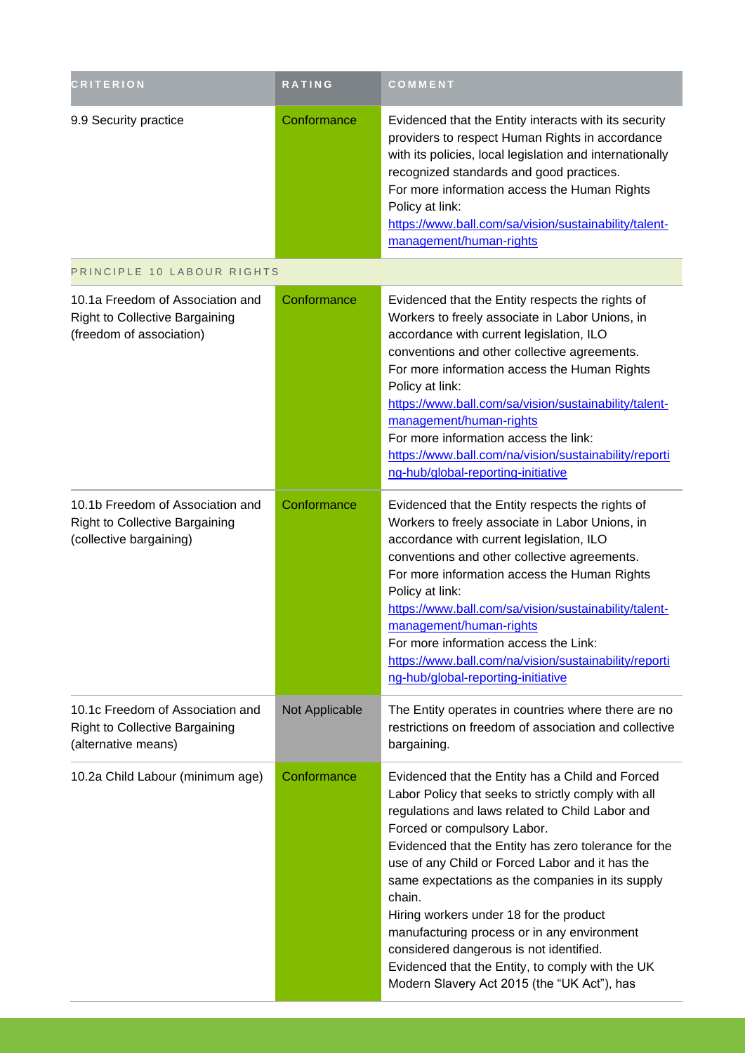| <b>CRITERION</b>                                                                                      | RATING         | COMMENT                                                                                                                                                                                                                                                                                                                                                                                                                                                                                                                                                                                                    |
|-------------------------------------------------------------------------------------------------------|----------------|------------------------------------------------------------------------------------------------------------------------------------------------------------------------------------------------------------------------------------------------------------------------------------------------------------------------------------------------------------------------------------------------------------------------------------------------------------------------------------------------------------------------------------------------------------------------------------------------------------|
| 9.9 Security practice                                                                                 | Conformance    | Evidenced that the Entity interacts with its security<br>providers to respect Human Rights in accordance<br>with its policies, local legislation and internationally<br>recognized standards and good practices.<br>For more information access the Human Rights<br>Policy at link:<br>https://www.ball.com/sa/vision/sustainability/talent-<br>management/human-rights                                                                                                                                                                                                                                    |
| PRINCIPLE 10 LABOUR RIGHTS                                                                            |                |                                                                                                                                                                                                                                                                                                                                                                                                                                                                                                                                                                                                            |
| 10.1a Freedom of Association and<br><b>Right to Collective Bargaining</b><br>(freedom of association) | Conformance    | Evidenced that the Entity respects the rights of<br>Workers to freely associate in Labor Unions, in<br>accordance with current legislation, ILO<br>conventions and other collective agreements.<br>For more information access the Human Rights<br>Policy at link:<br>https://www.ball.com/sa/vision/sustainability/talent-<br>management/human-rights<br>For more information access the link:<br>https://www.ball.com/na/vision/sustainability/reporti<br>ng-hub/global-reporting-initiative                                                                                                             |
| 10.1b Freedom of Association and<br><b>Right to Collective Bargaining</b><br>(collective bargaining)  | Conformance    | Evidenced that the Entity respects the rights of<br>Workers to freely associate in Labor Unions, in<br>accordance with current legislation, ILO<br>conventions and other collective agreements.<br>For more information access the Human Rights<br>Policy at link:<br>https://www.ball.com/sa/vision/sustainability/talent-<br>management/human-rights<br>For more information access the Link:<br>https://www.ball.com/na/vision/sustainability/reporti<br>ng-hub/global-reporting-initiative                                                                                                             |
| 10.1c Freedom of Association and<br><b>Right to Collective Bargaining</b><br>(alternative means)      | Not Applicable | The Entity operates in countries where there are no<br>restrictions on freedom of association and collective<br>bargaining.                                                                                                                                                                                                                                                                                                                                                                                                                                                                                |
| 10.2a Child Labour (minimum age)                                                                      | Conformance    | Evidenced that the Entity has a Child and Forced<br>Labor Policy that seeks to strictly comply with all<br>regulations and laws related to Child Labor and<br>Forced or compulsory Labor.<br>Evidenced that the Entity has zero tolerance for the<br>use of any Child or Forced Labor and it has the<br>same expectations as the companies in its supply<br>chain.<br>Hiring workers under 18 for the product<br>manufacturing process or in any environment<br>considered dangerous is not identified.<br>Evidenced that the Entity, to comply with the UK<br>Modern Slavery Act 2015 (the "UK Act"), has |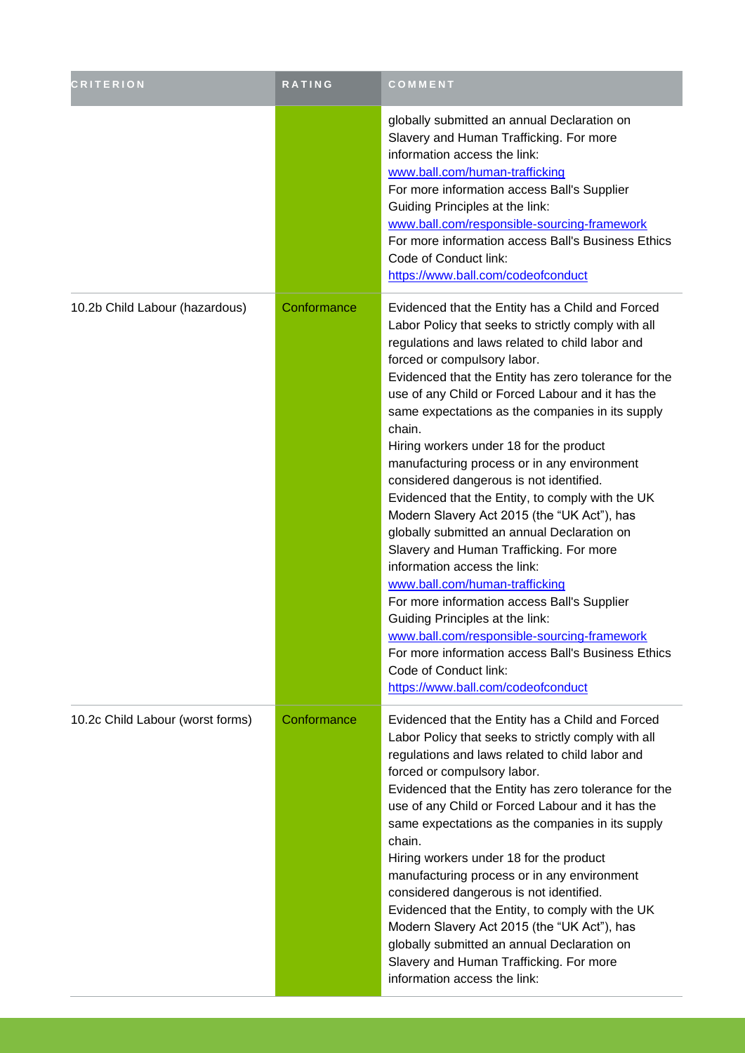| <b>CRITERION</b>                 | <b>RATING</b> | COMMENT                                                                                                                                                                                                                                                                                                                                                                                                                                                                                                                                                                                                                                                                                                                                                                                                                                                                                                                                                                                                                       |
|----------------------------------|---------------|-------------------------------------------------------------------------------------------------------------------------------------------------------------------------------------------------------------------------------------------------------------------------------------------------------------------------------------------------------------------------------------------------------------------------------------------------------------------------------------------------------------------------------------------------------------------------------------------------------------------------------------------------------------------------------------------------------------------------------------------------------------------------------------------------------------------------------------------------------------------------------------------------------------------------------------------------------------------------------------------------------------------------------|
|                                  |               | globally submitted an annual Declaration on<br>Slavery and Human Trafficking. For more<br>information access the link:<br>www.ball.com/human-trafficking<br>For more information access Ball's Supplier<br>Guiding Principles at the link:<br>www.ball.com/responsible-sourcing-framework<br>For more information access Ball's Business Ethics<br>Code of Conduct link:<br>https://www.ball.com/codeofconduct                                                                                                                                                                                                                                                                                                                                                                                                                                                                                                                                                                                                                |
| 10.2b Child Labour (hazardous)   | Conformance   | Evidenced that the Entity has a Child and Forced<br>Labor Policy that seeks to strictly comply with all<br>regulations and laws related to child labor and<br>forced or compulsory labor.<br>Evidenced that the Entity has zero tolerance for the<br>use of any Child or Forced Labour and it has the<br>same expectations as the companies in its supply<br>chain.<br>Hiring workers under 18 for the product<br>manufacturing process or in any environment<br>considered dangerous is not identified.<br>Evidenced that the Entity, to comply with the UK<br>Modern Slavery Act 2015 (the "UK Act"), has<br>globally submitted an annual Declaration on<br>Slavery and Human Trafficking. For more<br>information access the link:<br>www.ball.com/human-trafficking<br>For more information access Ball's Supplier<br>Guiding Principles at the link:<br>www.ball.com/responsible-sourcing-framework<br>For more information access Ball's Business Ethics<br>Code of Conduct link:<br>https://www.ball.com/codeofconduct |
| 10.2c Child Labour (worst forms) | Conformance   | Evidenced that the Entity has a Child and Forced<br>Labor Policy that seeks to strictly comply with all<br>regulations and laws related to child labor and<br>forced or compulsory labor.<br>Evidenced that the Entity has zero tolerance for the<br>use of any Child or Forced Labour and it has the<br>same expectations as the companies in its supply<br>chain.<br>Hiring workers under 18 for the product<br>manufacturing process or in any environment<br>considered dangerous is not identified.<br>Evidenced that the Entity, to comply with the UK<br>Modern Slavery Act 2015 (the "UK Act"), has<br>globally submitted an annual Declaration on<br>Slavery and Human Trafficking. For more<br>information access the link:                                                                                                                                                                                                                                                                                         |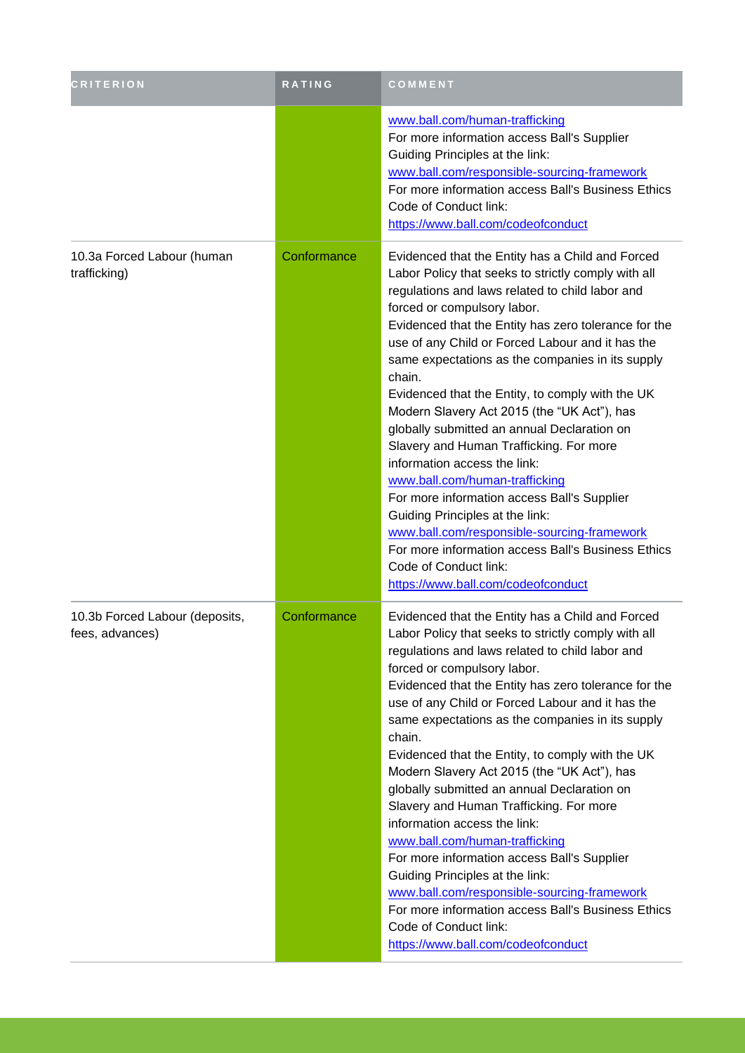| <b>CRITERION</b>                                  | <b>RATING</b> | COMMENT                                                                                                                                                                                                                                                                                                                                                                                                                                                                                                                                                                                                                                                                                                                                                                                                                                                                                  |
|---------------------------------------------------|---------------|------------------------------------------------------------------------------------------------------------------------------------------------------------------------------------------------------------------------------------------------------------------------------------------------------------------------------------------------------------------------------------------------------------------------------------------------------------------------------------------------------------------------------------------------------------------------------------------------------------------------------------------------------------------------------------------------------------------------------------------------------------------------------------------------------------------------------------------------------------------------------------------|
|                                                   |               | www.ball.com/human-trafficking<br>For more information access Ball's Supplier<br>Guiding Principles at the link:<br>www.ball.com/responsible-sourcing-framework<br>For more information access Ball's Business Ethics<br>Code of Conduct link:<br>https://www.ball.com/codeofconduct                                                                                                                                                                                                                                                                                                                                                                                                                                                                                                                                                                                                     |
| 10.3a Forced Labour (human<br>trafficking)        | Conformance   | Evidenced that the Entity has a Child and Forced<br>Labor Policy that seeks to strictly comply with all<br>regulations and laws related to child labor and<br>forced or compulsory labor.<br>Evidenced that the Entity has zero tolerance for the<br>use of any Child or Forced Labour and it has the<br>same expectations as the companies in its supply<br>chain.<br>Evidenced that the Entity, to comply with the UK<br>Modern Slavery Act 2015 (the "UK Act"), has<br>globally submitted an annual Declaration on<br>Slavery and Human Trafficking. For more<br>information access the link:<br>www.ball.com/human-trafficking<br>For more information access Ball's Supplier<br>Guiding Principles at the link:<br>www.ball.com/responsible-sourcing-framework<br>For more information access Ball's Business Ethics<br>Code of Conduct link:<br>https://www.ball.com/codeofconduct |
| 10.3b Forced Labour (deposits,<br>fees, advances) | Conformance   | Evidenced that the Entity has a Child and Forced<br>Labor Policy that seeks to strictly comply with all<br>regulations and laws related to child labor and<br>forced or compulsory labor.<br>Evidenced that the Entity has zero tolerance for the<br>use of any Child or Forced Labour and it has the<br>same expectations as the companies in its supply<br>chain.<br>Evidenced that the Entity, to comply with the UK<br>Modern Slavery Act 2015 (the "UK Act"), has<br>globally submitted an annual Declaration on<br>Slavery and Human Trafficking. For more<br>information access the link:<br>www.ball.com/human-trafficking<br>For more information access Ball's Supplier<br>Guiding Principles at the link:<br>www.ball.com/responsible-sourcing-framework<br>For more information access Ball's Business Ethics<br>Code of Conduct link:<br>https://www.ball.com/codeofconduct |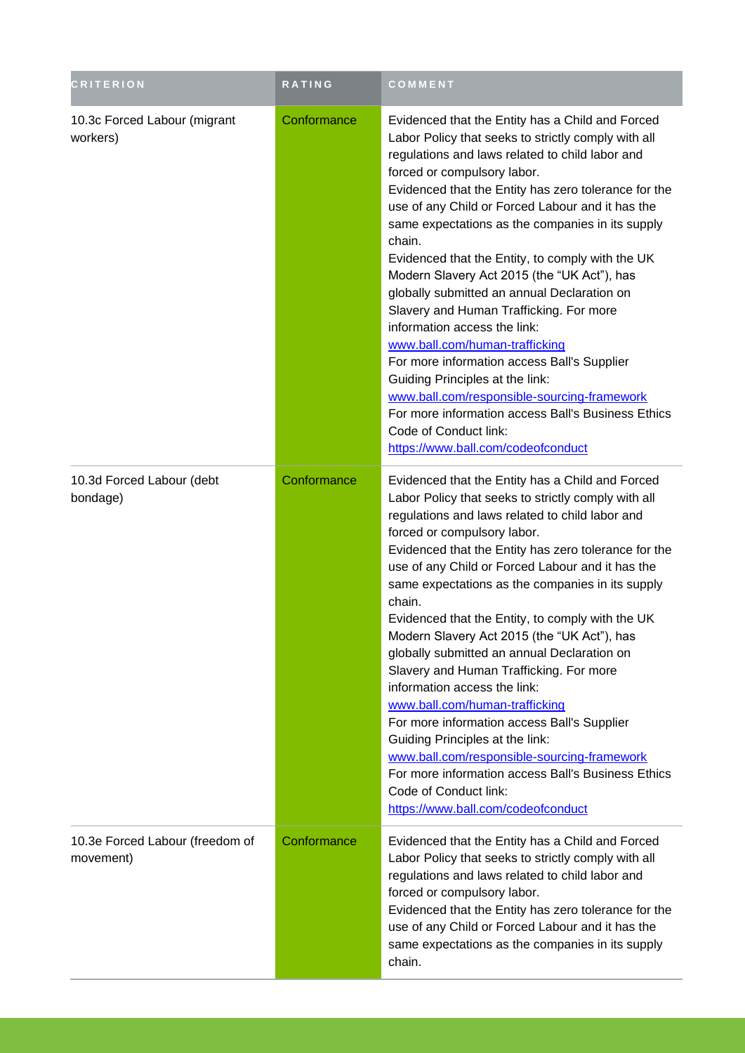| <b>CRITERION</b>                             | RATING      | COMMENT                                                                                                                                                                                                                                                                                                                                                                                                                                                                                                                                                                                                                                                                                                                                                                                                                                                                                  |
|----------------------------------------------|-------------|------------------------------------------------------------------------------------------------------------------------------------------------------------------------------------------------------------------------------------------------------------------------------------------------------------------------------------------------------------------------------------------------------------------------------------------------------------------------------------------------------------------------------------------------------------------------------------------------------------------------------------------------------------------------------------------------------------------------------------------------------------------------------------------------------------------------------------------------------------------------------------------|
| 10.3c Forced Labour (migrant<br>workers)     | Conformance | Evidenced that the Entity has a Child and Forced<br>Labor Policy that seeks to strictly comply with all<br>regulations and laws related to child labor and<br>forced or compulsory labor.<br>Evidenced that the Entity has zero tolerance for the<br>use of any Child or Forced Labour and it has the<br>same expectations as the companies in its supply<br>chain.<br>Evidenced that the Entity, to comply with the UK<br>Modern Slavery Act 2015 (the "UK Act"), has<br>globally submitted an annual Declaration on<br>Slavery and Human Trafficking. For more<br>information access the link:<br>www.ball.com/human-trafficking<br>For more information access Ball's Supplier<br>Guiding Principles at the link:<br>www.ball.com/responsible-sourcing-framework<br>For more information access Ball's Business Ethics<br>Code of Conduct link:<br>https://www.ball.com/codeofconduct |
| 10.3d Forced Labour (debt<br>bondage)        | Conformance | Evidenced that the Entity has a Child and Forced<br>Labor Policy that seeks to strictly comply with all<br>regulations and laws related to child labor and<br>forced or compulsory labor.<br>Evidenced that the Entity has zero tolerance for the<br>use of any Child or Forced Labour and it has the<br>same expectations as the companies in its supply<br>chain.<br>Evidenced that the Entity, to comply with the UK<br>Modern Slavery Act 2015 (the "UK Act"), has<br>globally submitted an annual Declaration on<br>Slavery and Human Trafficking. For more<br>information access the link:<br>www.ball.com/human-trafficking<br>For more information access Ball's Supplier<br>Guiding Principles at the link:<br>www.ball.com/responsible-sourcing-framework<br>For more information access Ball's Business Ethics<br>Code of Conduct link:<br>https://www.ball.com/codeofconduct |
| 10.3e Forced Labour (freedom of<br>movement) | Conformance | Evidenced that the Entity has a Child and Forced<br>Labor Policy that seeks to strictly comply with all<br>regulations and laws related to child labor and<br>forced or compulsory labor.<br>Evidenced that the Entity has zero tolerance for the<br>use of any Child or Forced Labour and it has the<br>same expectations as the companies in its supply<br>chain.                                                                                                                                                                                                                                                                                                                                                                                                                                                                                                                      |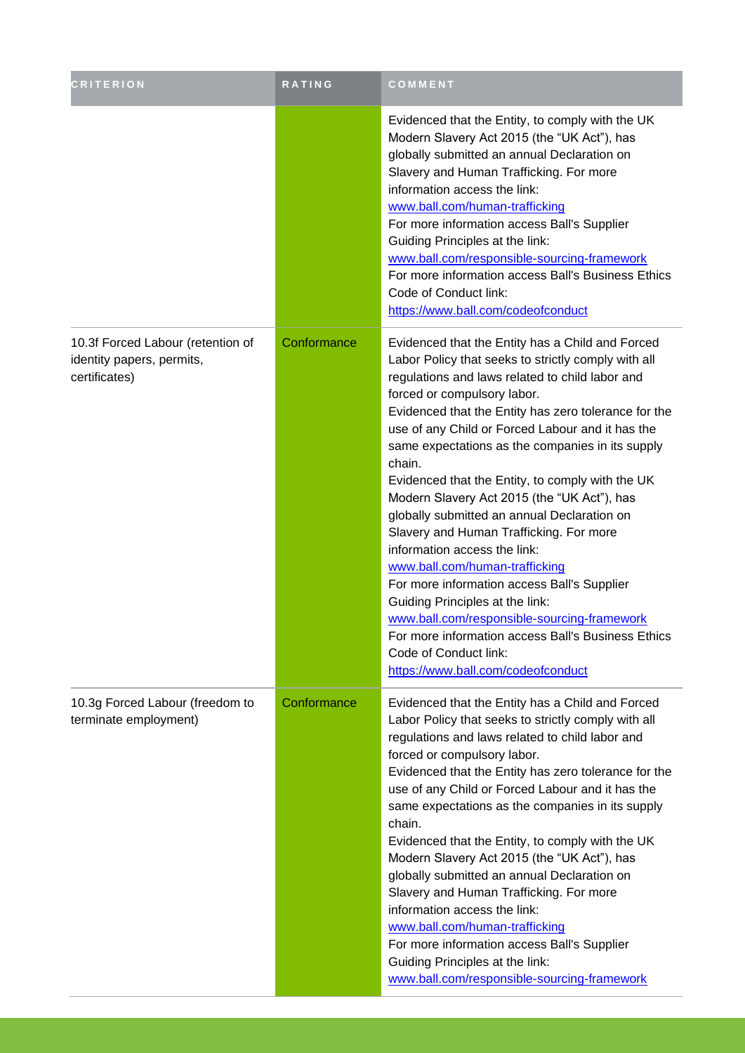| CRITERION                                                                       | <b>RATING</b> | COMMENT                                                                                                                                                                                                                                                                                                                                                                                                                                                                                                                                                                                                                                                                                                                                                                                                                                                                                  |
|---------------------------------------------------------------------------------|---------------|------------------------------------------------------------------------------------------------------------------------------------------------------------------------------------------------------------------------------------------------------------------------------------------------------------------------------------------------------------------------------------------------------------------------------------------------------------------------------------------------------------------------------------------------------------------------------------------------------------------------------------------------------------------------------------------------------------------------------------------------------------------------------------------------------------------------------------------------------------------------------------------|
|                                                                                 |               | Evidenced that the Entity, to comply with the UK<br>Modern Slavery Act 2015 (the "UK Act"), has<br>globally submitted an annual Declaration on<br>Slavery and Human Trafficking. For more<br>information access the link:<br>www.ball.com/human-trafficking<br>For more information access Ball's Supplier<br>Guiding Principles at the link:<br>www.ball.com/responsible-sourcing-framework<br>For more information access Ball's Business Ethics<br>Code of Conduct link:<br>https://www.ball.com/codeofconduct                                                                                                                                                                                                                                                                                                                                                                        |
| 10.3f Forced Labour (retention of<br>identity papers, permits,<br>certificates) | Conformance   | Evidenced that the Entity has a Child and Forced<br>Labor Policy that seeks to strictly comply with all<br>regulations and laws related to child labor and<br>forced or compulsory labor.<br>Evidenced that the Entity has zero tolerance for the<br>use of any Child or Forced Labour and it has the<br>same expectations as the companies in its supply<br>chain.<br>Evidenced that the Entity, to comply with the UK<br>Modern Slavery Act 2015 (the "UK Act"), has<br>globally submitted an annual Declaration on<br>Slavery and Human Trafficking. For more<br>information access the link:<br>www.ball.com/human-trafficking<br>For more information access Ball's Supplier<br>Guiding Principles at the link:<br>www.ball.com/responsible-sourcing-framework<br>For more information access Ball's Business Ethics<br>Code of Conduct link:<br>https://www.ball.com/codeofconduct |
| 10.3g Forced Labour (freedom to<br>terminate employment)                        | Conformance   | Evidenced that the Entity has a Child and Forced<br>Labor Policy that seeks to strictly comply with all<br>regulations and laws related to child labor and<br>forced or compulsory labor.<br>Evidenced that the Entity has zero tolerance for the<br>use of any Child or Forced Labour and it has the<br>same expectations as the companies in its supply<br>chain.<br>Evidenced that the Entity, to comply with the UK<br>Modern Slavery Act 2015 (the "UK Act"), has<br>globally submitted an annual Declaration on<br>Slavery and Human Trafficking. For more<br>information access the link:<br>www.ball.com/human-trafficking<br>For more information access Ball's Supplier<br>Guiding Principles at the link:<br>www.ball.com/responsible-sourcing-framework                                                                                                                      |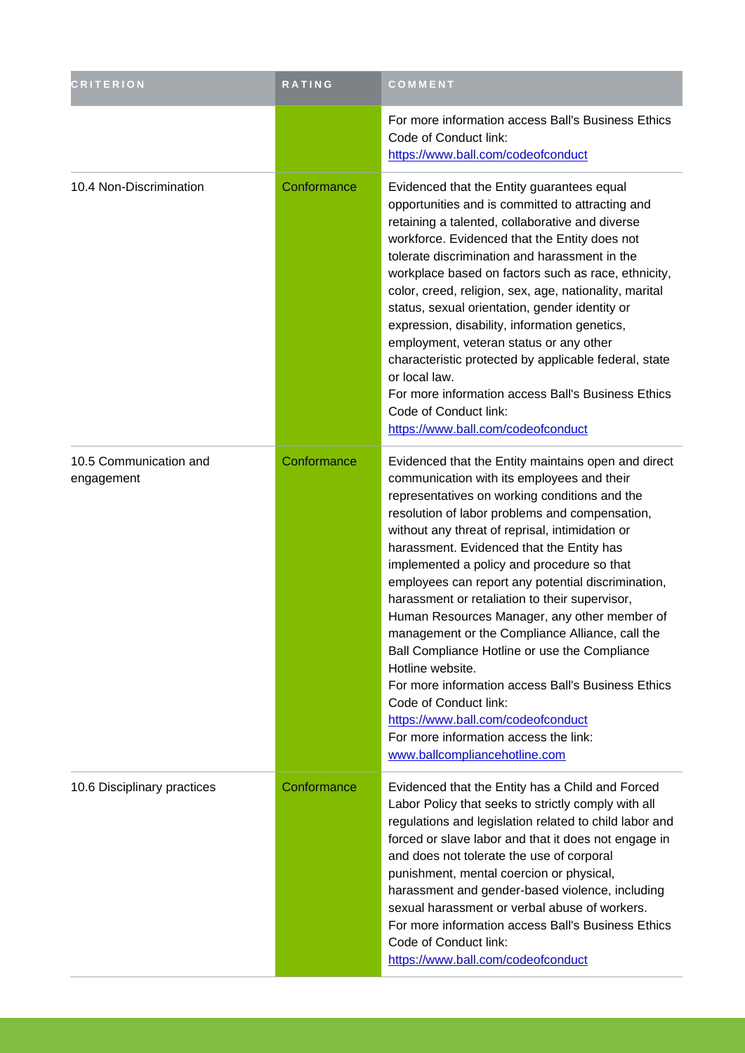| <b>CRITERION</b>                     | RATING      | COMMENT                                                                                                                                                                                                                                                                                                                                                                                                                                                                                                                                                                                                                                                                                                                                                                                                                           |
|--------------------------------------|-------------|-----------------------------------------------------------------------------------------------------------------------------------------------------------------------------------------------------------------------------------------------------------------------------------------------------------------------------------------------------------------------------------------------------------------------------------------------------------------------------------------------------------------------------------------------------------------------------------------------------------------------------------------------------------------------------------------------------------------------------------------------------------------------------------------------------------------------------------|
|                                      |             | For more information access Ball's Business Ethics<br>Code of Conduct link:<br>https://www.ball.com/codeofconduct                                                                                                                                                                                                                                                                                                                                                                                                                                                                                                                                                                                                                                                                                                                 |
| 10.4 Non-Discrimination              | Conformance | Evidenced that the Entity guarantees equal<br>opportunities and is committed to attracting and<br>retaining a talented, collaborative and diverse<br>workforce. Evidenced that the Entity does not<br>tolerate discrimination and harassment in the<br>workplace based on factors such as race, ethnicity,<br>color, creed, religion, sex, age, nationality, marital<br>status, sexual orientation, gender identity or<br>expression, disability, information genetics,<br>employment, veteran status or any other<br>characteristic protected by applicable federal, state<br>or local law.<br>For more information access Ball's Business Ethics<br>Code of Conduct link:<br>https://www.ball.com/codeofconduct                                                                                                                 |
| 10.5 Communication and<br>engagement | Conformance | Evidenced that the Entity maintains open and direct<br>communication with its employees and their<br>representatives on working conditions and the<br>resolution of labor problems and compensation,<br>without any threat of reprisal, intimidation or<br>harassment. Evidenced that the Entity has<br>implemented a policy and procedure so that<br>employees can report any potential discrimination,<br>harassment or retaliation to their supervisor,<br>Human Resources Manager, any other member of<br>management or the Compliance Alliance, call the<br>Ball Compliance Hotline or use the Compliance<br>Hotline website.<br>For more information access Ball's Business Ethics<br>Code of Conduct link:<br>https://www.ball.com/codeofconduct<br>For more information access the link:<br>www.ballcompliancehotline.com |
| 10.6 Disciplinary practices          | Conformance | Evidenced that the Entity has a Child and Forced<br>Labor Policy that seeks to strictly comply with all<br>regulations and legislation related to child labor and<br>forced or slave labor and that it does not engage in<br>and does not tolerate the use of corporal<br>punishment, mental coercion or physical,<br>harassment and gender-based violence, including<br>sexual harassment or verbal abuse of workers.<br>For more information access Ball's Business Ethics<br>Code of Conduct link:<br>https://www.ball.com/codeofconduct                                                                                                                                                                                                                                                                                       |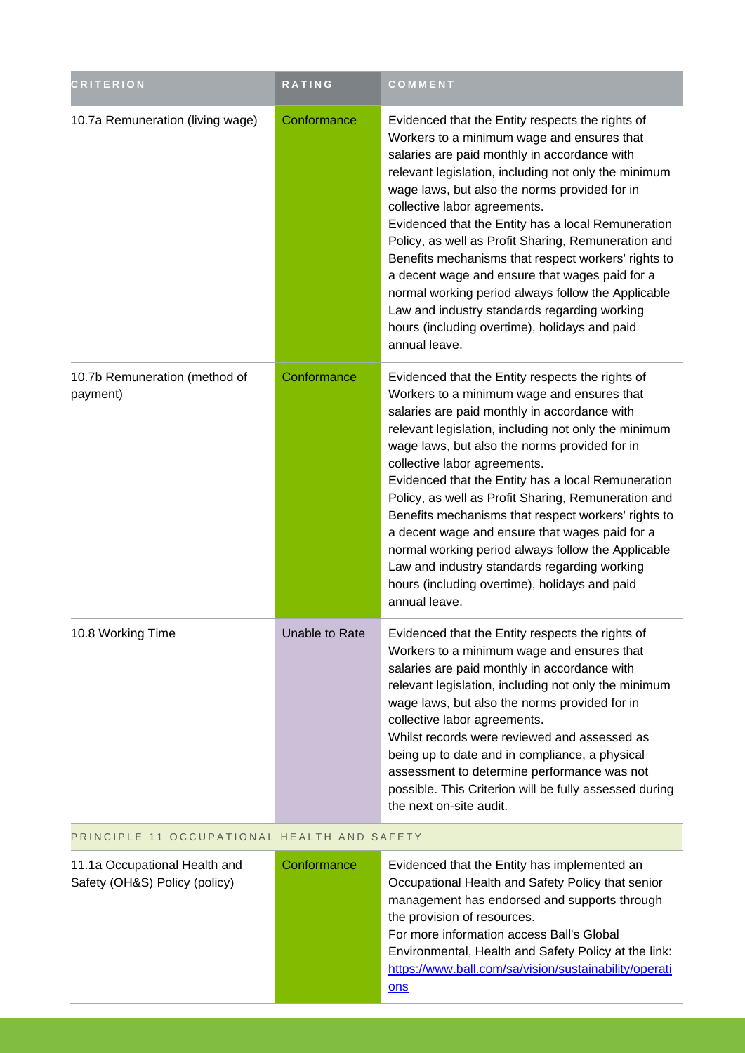| <b>CRITERION</b>                                               | <b>RATING</b>  | COMMENT                                                                                                                                                                                                                                                                                                                                                                                                                                                                                                                                                                                                                                                                               |
|----------------------------------------------------------------|----------------|---------------------------------------------------------------------------------------------------------------------------------------------------------------------------------------------------------------------------------------------------------------------------------------------------------------------------------------------------------------------------------------------------------------------------------------------------------------------------------------------------------------------------------------------------------------------------------------------------------------------------------------------------------------------------------------|
| 10.7a Remuneration (living wage)                               | Conformance    | Evidenced that the Entity respects the rights of<br>Workers to a minimum wage and ensures that<br>salaries are paid monthly in accordance with<br>relevant legislation, including not only the minimum<br>wage laws, but also the norms provided for in<br>collective labor agreements.<br>Evidenced that the Entity has a local Remuneration<br>Policy, as well as Profit Sharing, Remuneration and<br>Benefits mechanisms that respect workers' rights to<br>a decent wage and ensure that wages paid for a<br>normal working period always follow the Applicable<br>Law and industry standards regarding working<br>hours (including overtime), holidays and paid<br>annual leave. |
| 10.7b Remuneration (method of<br>payment)                      | Conformance    | Evidenced that the Entity respects the rights of<br>Workers to a minimum wage and ensures that<br>salaries are paid monthly in accordance with<br>relevant legislation, including not only the minimum<br>wage laws, but also the norms provided for in<br>collective labor agreements.<br>Evidenced that the Entity has a local Remuneration<br>Policy, as well as Profit Sharing, Remuneration and<br>Benefits mechanisms that respect workers' rights to<br>a decent wage and ensure that wages paid for a<br>normal working period always follow the Applicable<br>Law and industry standards regarding working<br>hours (including overtime), holidays and paid<br>annual leave. |
| 10.8 Working Time                                              | Unable to Rate | Evidenced that the Entity respects the rights of<br>Workers to a minimum wage and ensures that<br>salaries are paid monthly in accordance with<br>relevant legislation, including not only the minimum<br>wage laws, but also the norms provided for in<br>collective labor agreements.<br>Whilst records were reviewed and assessed as<br>being up to date and in compliance, a physical<br>assessment to determine performance was not<br>possible. This Criterion will be fully assessed during<br>the next on-site audit.                                                                                                                                                         |
| PRINCIPLE 11 OCCUPATIONAL HEALTH AND SAFETY                    |                |                                                                                                                                                                                                                                                                                                                                                                                                                                                                                                                                                                                                                                                                                       |
| 11.1a Occupational Health and<br>Safety (OH&S) Policy (policy) | Conformance    | Evidenced that the Entity has implemented an<br>Occupational Health and Safety Policy that senior<br>management has endorsed and supports through<br>the provision of resources.                                                                                                                                                                                                                                                                                                                                                                                                                                                                                                      |

For more information access Ball's Global Environmental, Health and Safety Policy at the link: [https://www.ball.com/sa/vision/sustainability/operati](https://www.ball.com/sa/vision/sustainability/operations) [ons](https://www.ball.com/sa/vision/sustainability/operations)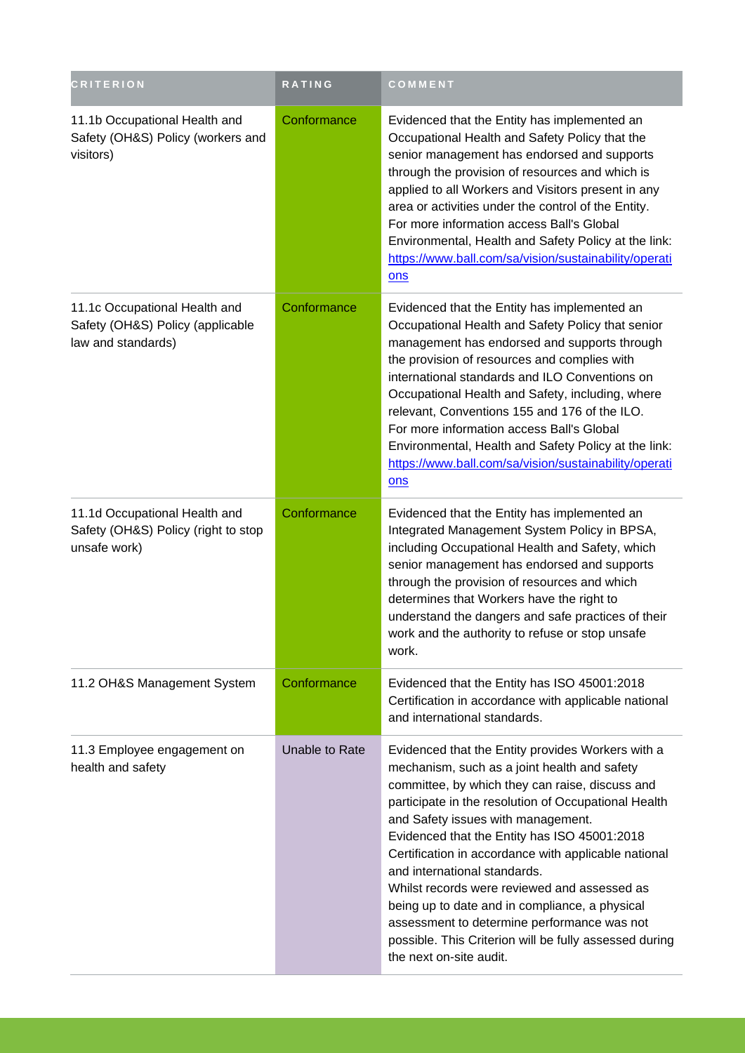| <b>CRITERION</b>                                                                        | RATING         | COMMENT                                                                                                                                                                                                                                                                                                                                                                                                                                                                                                                                                                                                                          |
|-----------------------------------------------------------------------------------------|----------------|----------------------------------------------------------------------------------------------------------------------------------------------------------------------------------------------------------------------------------------------------------------------------------------------------------------------------------------------------------------------------------------------------------------------------------------------------------------------------------------------------------------------------------------------------------------------------------------------------------------------------------|
| 11.1b Occupational Health and<br>Safety (OH&S) Policy (workers and<br>visitors)         | Conformance    | Evidenced that the Entity has implemented an<br>Occupational Health and Safety Policy that the<br>senior management has endorsed and supports<br>through the provision of resources and which is<br>applied to all Workers and Visitors present in any<br>area or activities under the control of the Entity.<br>For more information access Ball's Global<br>Environmental, Health and Safety Policy at the link:<br>https://www.ball.com/sa/vision/sustainability/operati<br>ons                                                                                                                                               |
| 11.1c Occupational Health and<br>Safety (OH&S) Policy (applicable<br>law and standards) | Conformance    | Evidenced that the Entity has implemented an<br>Occupational Health and Safety Policy that senior<br>management has endorsed and supports through<br>the provision of resources and complies with<br>international standards and ILO Conventions on<br>Occupational Health and Safety, including, where<br>relevant, Conventions 155 and 176 of the ILO.<br>For more information access Ball's Global<br>Environmental, Health and Safety Policy at the link:<br>https://www.ball.com/sa/vision/sustainability/operati<br>ons                                                                                                    |
| 11.1d Occupational Health and<br>Safety (OH&S) Policy (right to stop<br>unsafe work)    | Conformance    | Evidenced that the Entity has implemented an<br>Integrated Management System Policy in BPSA,<br>including Occupational Health and Safety, which<br>senior management has endorsed and supports<br>through the provision of resources and which<br>determines that Workers have the right to<br>understand the dangers and safe practices of their<br>work and the authority to refuse or stop unsafe<br>work.                                                                                                                                                                                                                    |
| 11.2 OH&S Management System                                                             | Conformance    | Evidenced that the Entity has ISO 45001:2018<br>Certification in accordance with applicable national<br>and international standards.                                                                                                                                                                                                                                                                                                                                                                                                                                                                                             |
| 11.3 Employee engagement on<br>health and safety                                        | Unable to Rate | Evidenced that the Entity provides Workers with a<br>mechanism, such as a joint health and safety<br>committee, by which they can raise, discuss and<br>participate in the resolution of Occupational Health<br>and Safety issues with management.<br>Evidenced that the Entity has ISO 45001:2018<br>Certification in accordance with applicable national<br>and international standards.<br>Whilst records were reviewed and assessed as<br>being up to date and in compliance, a physical<br>assessment to determine performance was not<br>possible. This Criterion will be fully assessed during<br>the next on-site audit. |